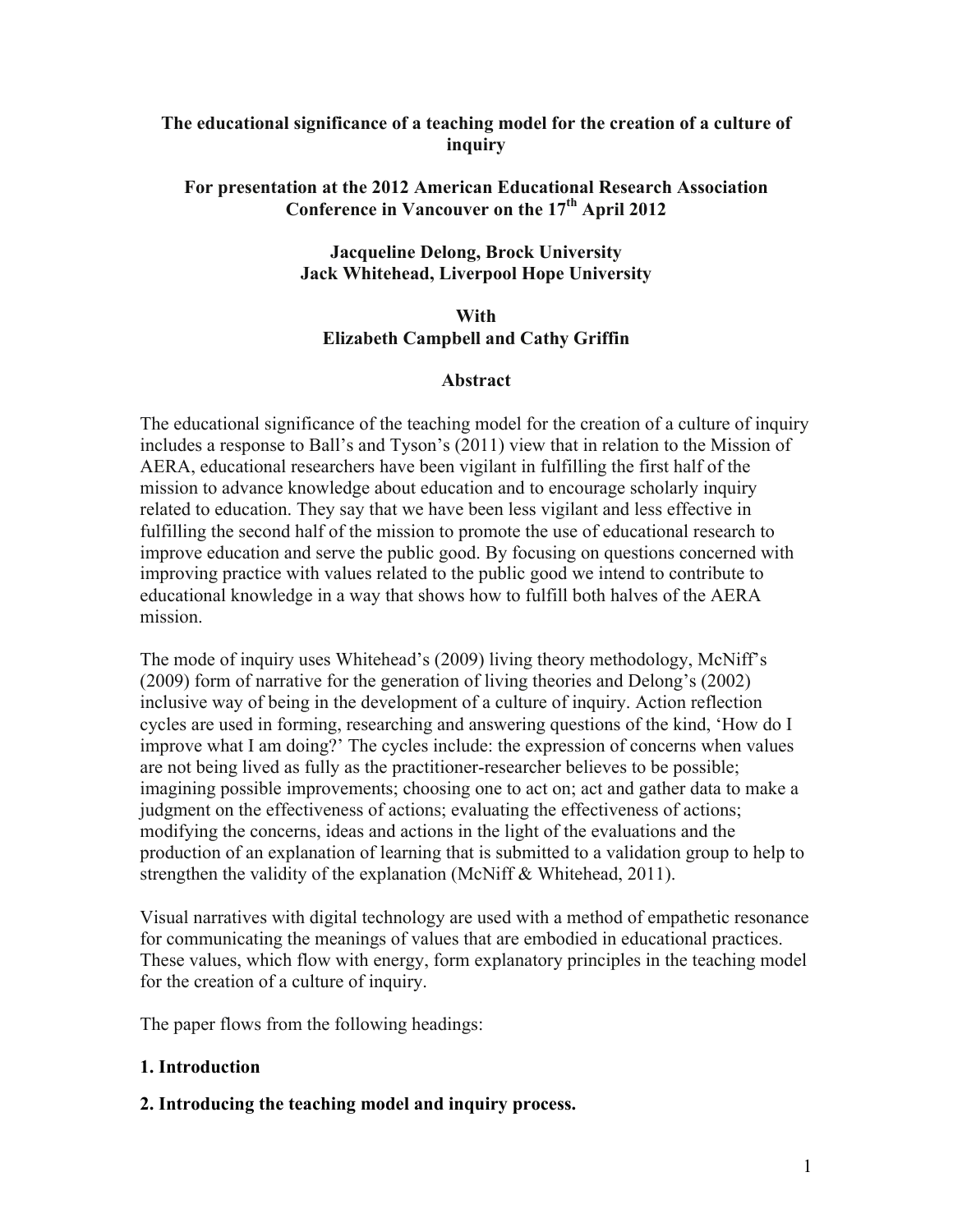### **The educational significance of a teaching model for the creation of a culture of inquiry**

### **For presentation at the 2012 American Educational Research Association**  Conference in Vancouver on the 17<sup>th</sup> April 2012

# **Jacqueline Delong, Brock University Jack Whitehead, Liverpool Hope University**

### **With Elizabeth Campbell and Cathy Griffin**

### **Abstract**

The educational significance of the teaching model for the creation of a culture of inquiry includes a response to Ball's and Tyson's (2011) view that in relation to the Mission of AERA, educational researchers have been vigilant in fulfilling the first half of the mission to advance knowledge about education and to encourage scholarly inquiry related to education. They say that we have been less vigilant and less effective in fulfilling the second half of the mission to promote the use of educational research to improve education and serve the public good. By focusing on questions concerned with improving practice with values related to the public good we intend to contribute to educational knowledge in a way that shows how to fulfill both halves of the AERA mission.

The mode of inquiry uses Whitehead's (2009) living theory methodology, McNiff's (2009) form of narrative for the generation of living theories and Delong's (2002) inclusive way of being in the development of a culture of inquiry. Action reflection cycles are used in forming, researching and answering questions of the kind, 'How do I improve what I am doing?' The cycles include: the expression of concerns when values are not being lived as fully as the practitioner-researcher believes to be possible; imagining possible improvements; choosing one to act on; act and gather data to make a judgment on the effectiveness of actions; evaluating the effectiveness of actions; modifying the concerns, ideas and actions in the light of the evaluations and the production of an explanation of learning that is submitted to a validation group to help to strengthen the validity of the explanation (McNiff & Whitehead, 2011).

Visual narratives with digital technology are used with a method of empathetic resonance for communicating the meanings of values that are embodied in educational practices. These values, which flow with energy, form explanatory principles in the teaching model for the creation of a culture of inquiry.

The paper flows from the following headings:

### **1. Introduction**

### **2. Introducing the teaching model and inquiry process.**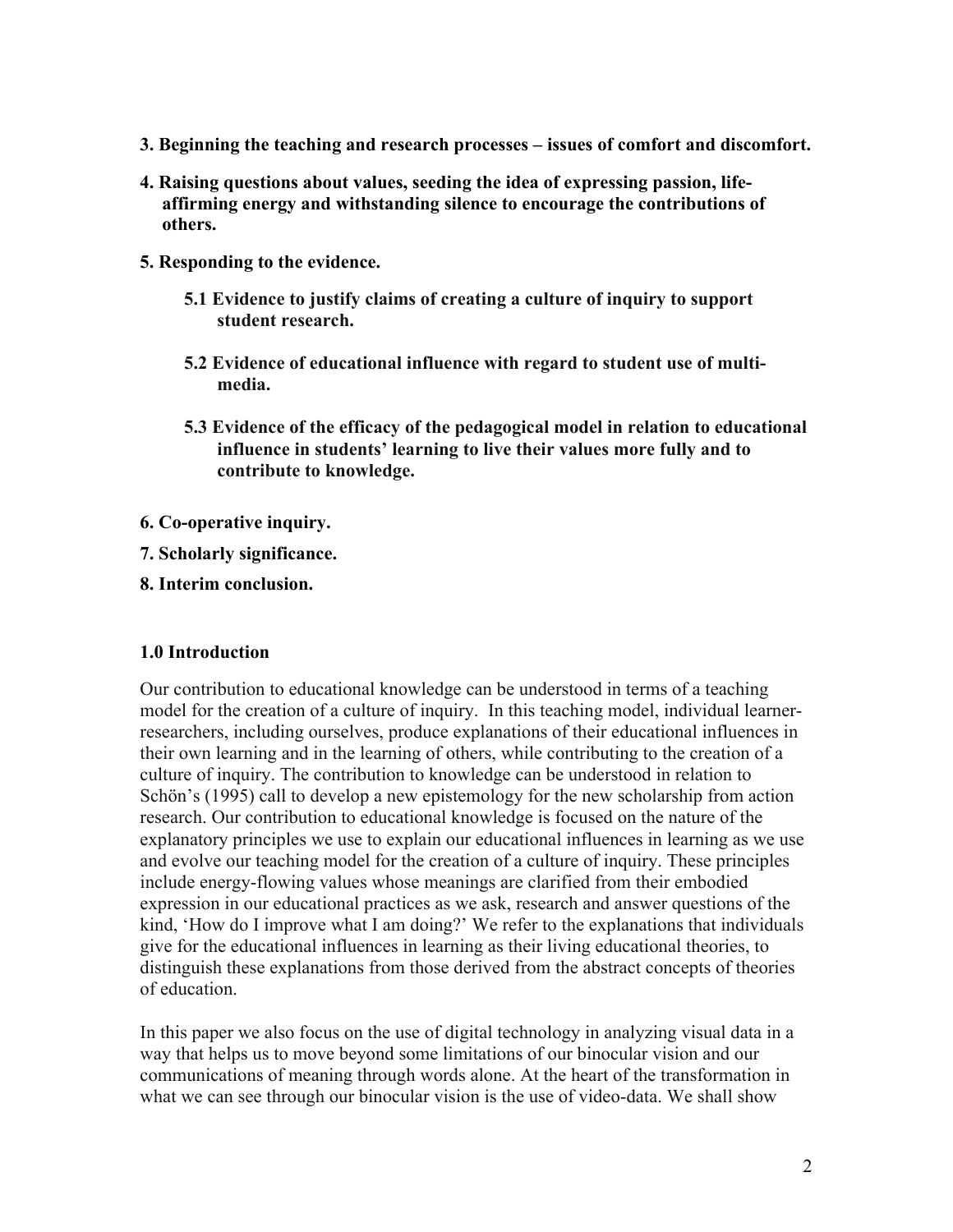- **3. Beginning the teaching and research processes issues of comfort and discomfort.**
- **4. Raising questions about values, seeding the idea of expressing passion, lifeaffirming energy and withstanding silence to encourage the contributions of others.**
- **5. Responding to the evidence.**
	- **5.1 Evidence to justify claims of creating a culture of inquiry to support student research.**
	- **5.2 Evidence of educational influence with regard to student use of multimedia.**
	- **5.3 Evidence of the efficacy of the pedagogical model in relation to educational influence in students' learning to live their values more fully and to contribute to knowledge.**
- **6. Co-operative inquiry.**
- **7. Scholarly significance.**
- **8. Interim conclusion.**

# **1.0 Introduction**

Our contribution to educational knowledge can be understood in terms of a teaching model for the creation of a culture of inquiry. In this teaching model, individual learnerresearchers, including ourselves, produce explanations of their educational influences in their own learning and in the learning of others, while contributing to the creation of a culture of inquiry. The contribution to knowledge can be understood in relation to Schön's (1995) call to develop a new epistemology for the new scholarship from action research. Our contribution to educational knowledge is focused on the nature of the explanatory principles we use to explain our educational influences in learning as we use and evolve our teaching model for the creation of a culture of inquiry. These principles include energy-flowing values whose meanings are clarified from their embodied expression in our educational practices as we ask, research and answer questions of the kind, 'How do I improve what I am doing?' We refer to the explanations that individuals give for the educational influences in learning as their living educational theories, to distinguish these explanations from those derived from the abstract concepts of theories of education.

In this paper we also focus on the use of digital technology in analyzing visual data in a way that helps us to move beyond some limitations of our binocular vision and our communications of meaning through words alone. At the heart of the transformation in what we can see through our binocular vision is the use of video-data. We shall show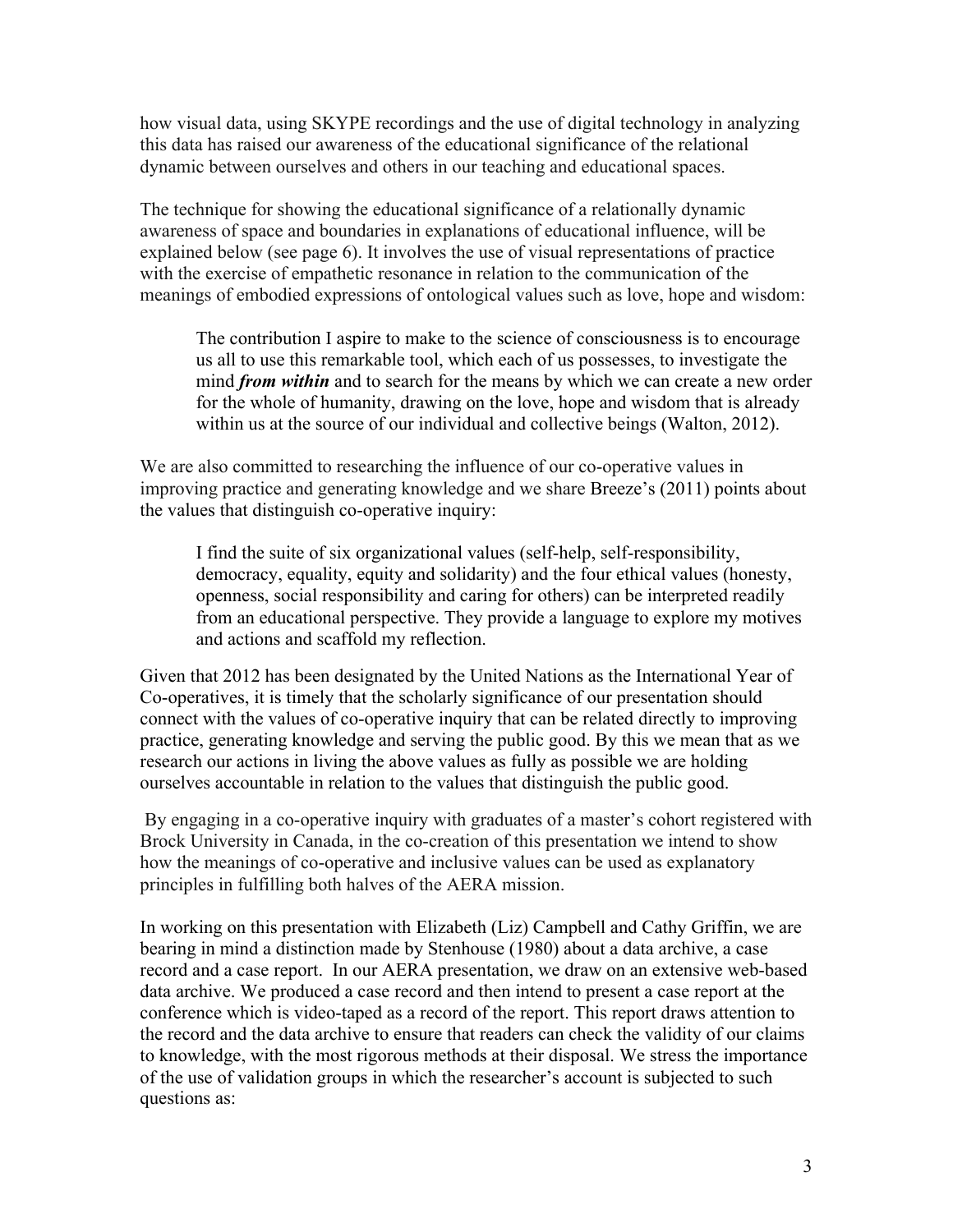how visual data, using SKYPE recordings and the use of digital technology in analyzing this data has raised our awareness of the educational significance of the relational dynamic between ourselves and others in our teaching and educational spaces.

The technique for showing the educational significance of a relationally dynamic awareness of space and boundaries in explanations of educational influence, will be explained below (see page 6). It involves the use of visual representations of practice with the exercise of empathetic resonance in relation to the communication of the meanings of embodied expressions of ontological values such as love, hope and wisdom:

The contribution I aspire to make to the science of consciousness is to encourage us all to use this remarkable tool, which each of us possesses, to investigate the mind *from within* and to search for the means by which we can create a new order for the whole of humanity, drawing on the love, hope and wisdom that is already within us at the source of our individual and collective beings (Walton, 2012).

We are also committed to researching the influence of our co-operative values in improving practice and generating knowledge and we share Breeze's (2011) points about the values that distinguish co-operative inquiry:

I find the suite of six organizational values (self-help, self-responsibility, democracy, equality, equity and solidarity) and the four ethical values (honesty, openness, social responsibility and caring for others) can be interpreted readily from an educational perspective. They provide a language to explore my motives and actions and scaffold my reflection.

Given that 2012 has been designated by the United Nations as the International Year of Co-operatives, it is timely that the scholarly significance of our presentation should connect with the values of co-operative inquiry that can be related directly to improving practice, generating knowledge and serving the public good. By this we mean that as we research our actions in living the above values as fully as possible we are holding ourselves accountable in relation to the values that distinguish the public good.

 By engaging in a co-operative inquiry with graduates of a master's cohort registered with Brock University in Canada, in the co-creation of this presentation we intend to show how the meanings of co-operative and inclusive values can be used as explanatory principles in fulfilling both halves of the AERA mission.

In working on this presentation with Elizabeth (Liz) Campbell and Cathy Griffin, we are bearing in mind a distinction made by Stenhouse (1980) about a data archive, a case record and a case report. In our AERA presentation, we draw on an extensive web-based data archive. We produced a case record and then intend to present a case report at the conference which is video-taped as a record of the report. This report draws attention to the record and the data archive to ensure that readers can check the validity of our claims to knowledge, with the most rigorous methods at their disposal. We stress the importance of the use of validation groups in which the researcher's account is subjected to such questions as: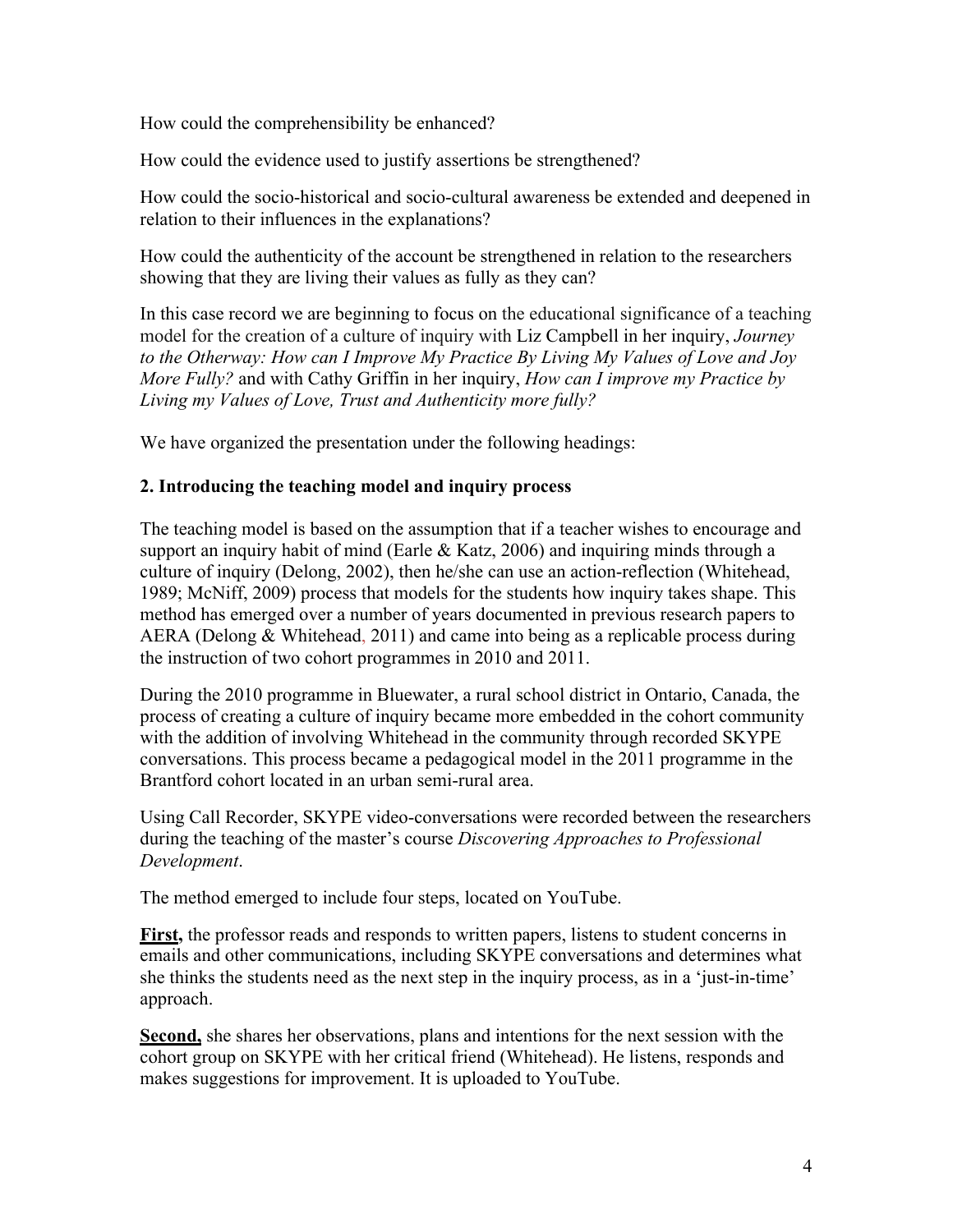How could the comprehensibility be enhanced?

How could the evidence used to justify assertions be strengthened?

How could the socio-historical and socio-cultural awareness be extended and deepened in relation to their influences in the explanations?

How could the authenticity of the account be strengthened in relation to the researchers showing that they are living their values as fully as they can?

In this case record we are beginning to focus on the educational significance of a teaching model for the creation of a culture of inquiry with Liz Campbell in her inquiry, *Journey to the Otherway: How can I Improve My Practice By Living My Values of Love and Joy More Fully?* and with Cathy Griffin in her inquiry, *How can I improve my Practice by Living my Values of Love, Trust and Authenticity more fully?*

We have organized the presentation under the following headings:

# **2. Introducing the teaching model and inquiry process**

The teaching model is based on the assumption that if a teacher wishes to encourage and support an inquiry habit of mind (Earle  $& Katz, 2006$ ) and inquiring minds through a culture of inquiry (Delong, 2002), then he/she can use an action-reflection (Whitehead, 1989; McNiff, 2009) process that models for the students how inquiry takes shape. This method has emerged over a number of years documented in previous research papers to AERA (Delong & Whitehead, 2011) and came into being as a replicable process during the instruction of two cohort programmes in 2010 and 2011.

During the 2010 programme in Bluewater, a rural school district in Ontario, Canada, the process of creating a culture of inquiry became more embedded in the cohort community with the addition of involving Whitehead in the community through recorded SKYPE conversations. This process became a pedagogical model in the 2011 programme in the Brantford cohort located in an urban semi-rural area.

Using Call Recorder, SKYPE video-conversations were recorded between the researchers during the teaching of the master's course *Discovering Approaches to Professional Development*.

The method emerged to include four steps, located on YouTube.

**First,** the professor reads and responds to written papers, listens to student concerns in emails and other communications, including SKYPE conversations and determines what she thinks the students need as the next step in the inquiry process, as in a 'just-in-time' approach.

**Second,** she shares her observations, plans and intentions for the next session with the cohort group on SKYPE with her critical friend (Whitehead). He listens, responds and makes suggestions for improvement. It is uploaded to YouTube.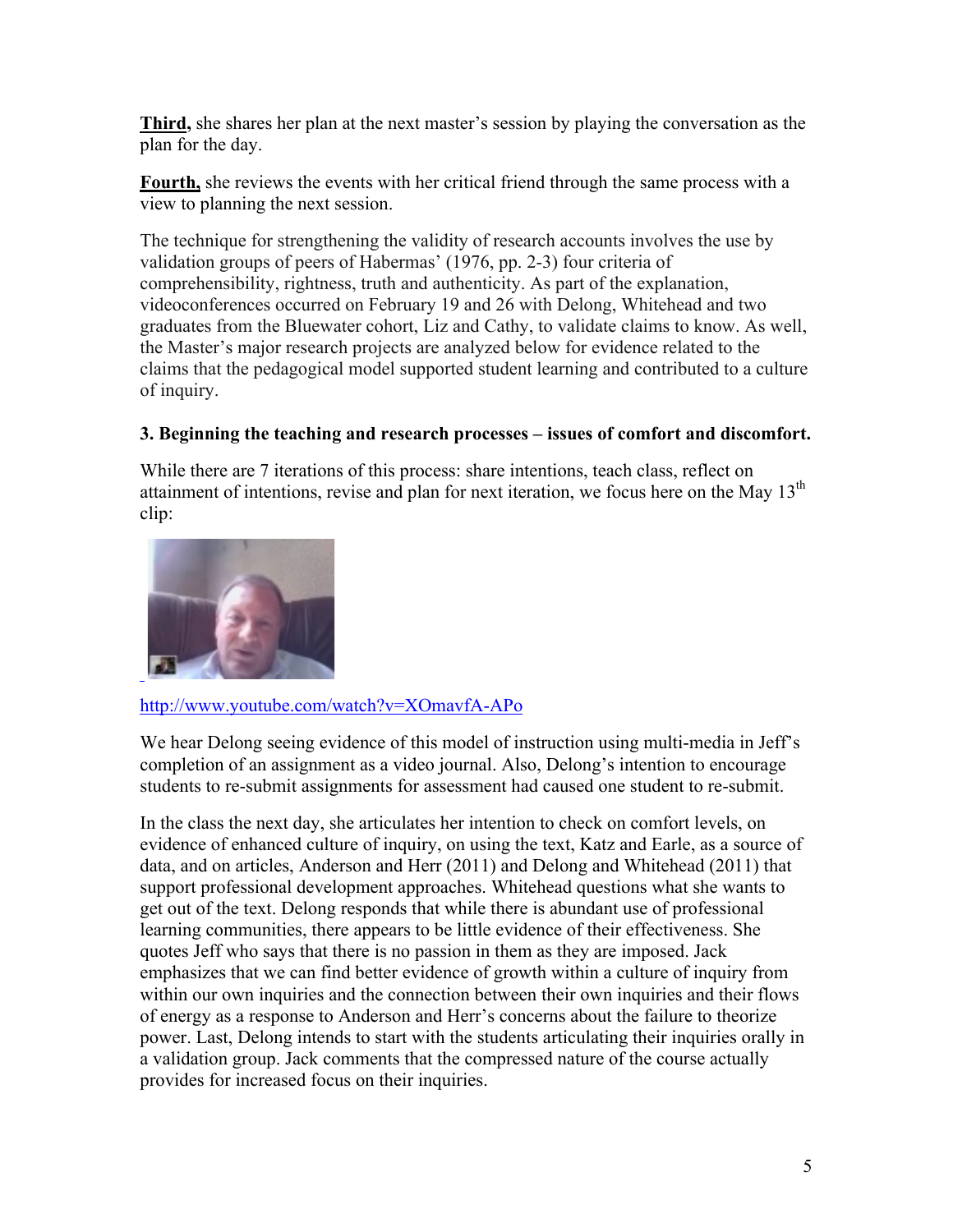**Third,** she shares her plan at the next master's session by playing the conversation as the plan for the day.

**Fourth,** she reviews the events with her critical friend through the same process with a view to planning the next session.

The technique for strengthening the validity of research accounts involves the use by validation groups of peers of Habermas' (1976, pp. 2-3) four criteria of comprehensibility, rightness, truth and authenticity. As part of the explanation, videoconferences occurred on February 19 and 26 with Delong, Whitehead and two graduates from the Bluewater cohort, Liz and Cathy, to validate claims to know. As well, the Master's major research projects are analyzed below for evidence related to the claims that the pedagogical model supported student learning and contributed to a culture of inquiry.

# **3. Beginning the teaching and research processes – issues of comfort and discomfort.**

While there are 7 iterations of this process: share intentions, teach class, reflect on attainment of intentions, revise and plan for next iteration, we focus here on the May  $13<sup>th</sup>$ clip:



# http://www.youtube.com/watch?v=XOmavfA-APo

We hear Delong seeing evidence of this model of instruction using multi-media in Jeff's completion of an assignment as a video journal. Also, Delong's intention to encourage students to re-submit assignments for assessment had caused one student to re-submit.

In the class the next day, she articulates her intention to check on comfort levels, on evidence of enhanced culture of inquiry, on using the text, Katz and Earle, as a source of data, and on articles, Anderson and Herr (2011) and Delong and Whitehead (2011) that support professional development approaches. Whitehead questions what she wants to get out of the text. Delong responds that while there is abundant use of professional learning communities, there appears to be little evidence of their effectiveness. She quotes Jeff who says that there is no passion in them as they are imposed. Jack emphasizes that we can find better evidence of growth within a culture of inquiry from within our own inquiries and the connection between their own inquiries and their flows of energy as a response to Anderson and Herr's concerns about the failure to theorize power. Last, Delong intends to start with the students articulating their inquiries orally in a validation group. Jack comments that the compressed nature of the course actually provides for increased focus on their inquiries.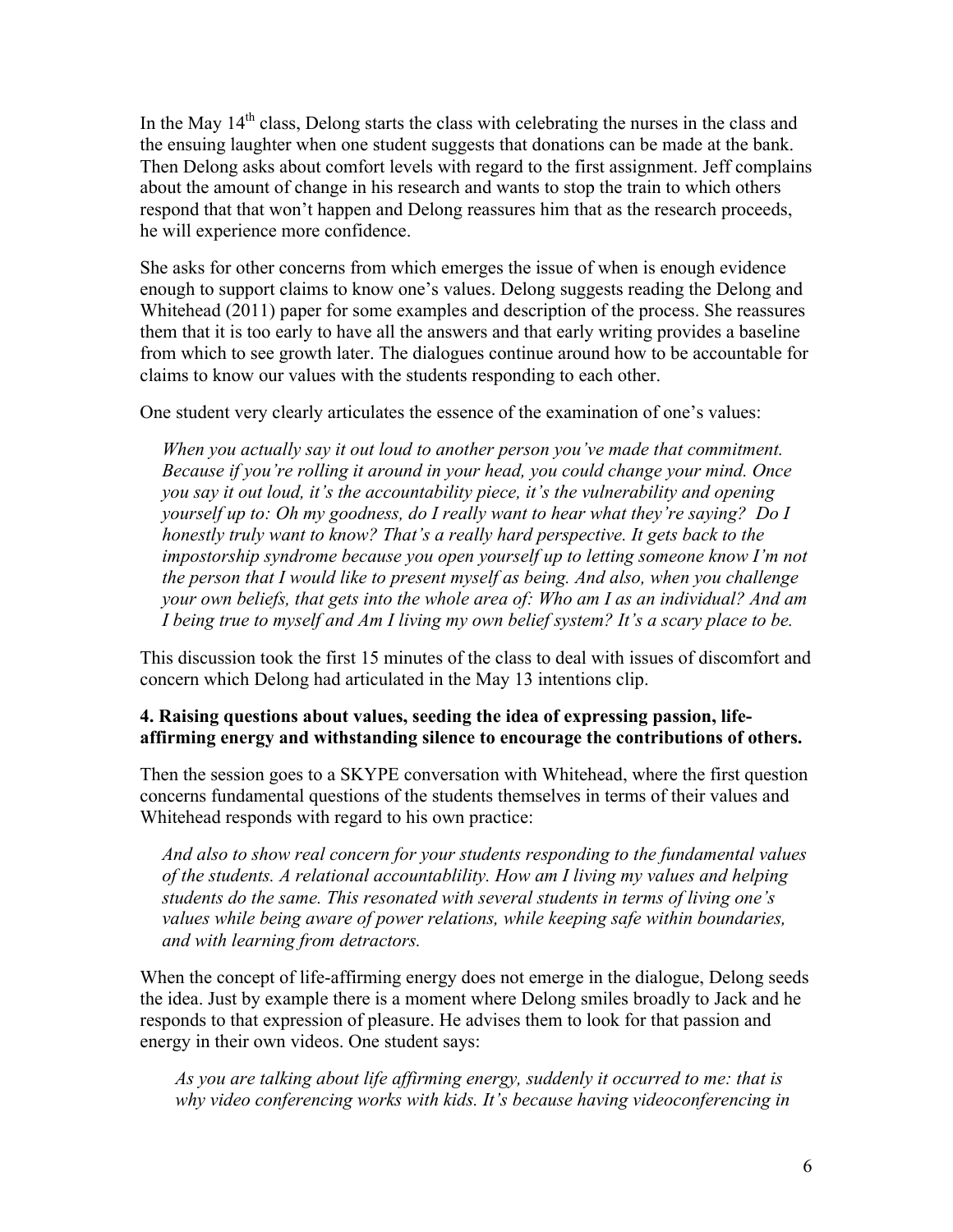In the May  $14<sup>th</sup>$  class, Delong starts the class with celebrating the nurses in the class and the ensuing laughter when one student suggests that donations can be made at the bank. Then Delong asks about comfort levels with regard to the first assignment. Jeff complains about the amount of change in his research and wants to stop the train to which others respond that that won't happen and Delong reassures him that as the research proceeds, he will experience more confidence.

She asks for other concerns from which emerges the issue of when is enough evidence enough to support claims to know one's values. Delong suggests reading the Delong and Whitehead (2011) paper for some examples and description of the process. She reassures them that it is too early to have all the answers and that early writing provides a baseline from which to see growth later. The dialogues continue around how to be accountable for claims to know our values with the students responding to each other.

One student very clearly articulates the essence of the examination of one's values:

*When you actually say it out loud to another person you've made that commitment. Because if you're rolling it around in your head, you could change your mind. Once you say it out loud, it's the accountability piece, it's the vulnerability and opening yourself up to: Oh my goodness, do I really want to hear what they're saying? Do I honestly truly want to know? That's a really hard perspective. It gets back to the impostorship syndrome because you open yourself up to letting someone know I'm not the person that I would like to present myself as being. And also, when you challenge your own beliefs, that gets into the whole area of: Who am I as an individual? And am I being true to myself and Am I living my own belief system? It's a scary place to be.*

This discussion took the first 15 minutes of the class to deal with issues of discomfort and concern which Delong had articulated in the May 13 intentions clip.

# **4. Raising questions about values, seeding the idea of expressing passion, lifeaffirming energy and withstanding silence to encourage the contributions of others.**

Then the session goes to a SKYPE conversation with Whitehead, where the first question concerns fundamental questions of the students themselves in terms of their values and Whitehead responds with regard to his own practice:

*And also to show real concern for your students responding to the fundamental values of the students. A relational accountablility. How am I living my values and helping students do the same. This resonated with several students in terms of living one's values while being aware of power relations, while keeping safe within boundaries, and with learning from detractors.* 

When the concept of life-affirming energy does not emerge in the dialogue, Delong seeds the idea. Just by example there is a moment where Delong smiles broadly to Jack and he responds to that expression of pleasure. He advises them to look for that passion and energy in their own videos. One student says:

*As you are talking about life affirming energy, suddenly it occurred to me: that is why video conferencing works with kids. It's because having videoconferencing in*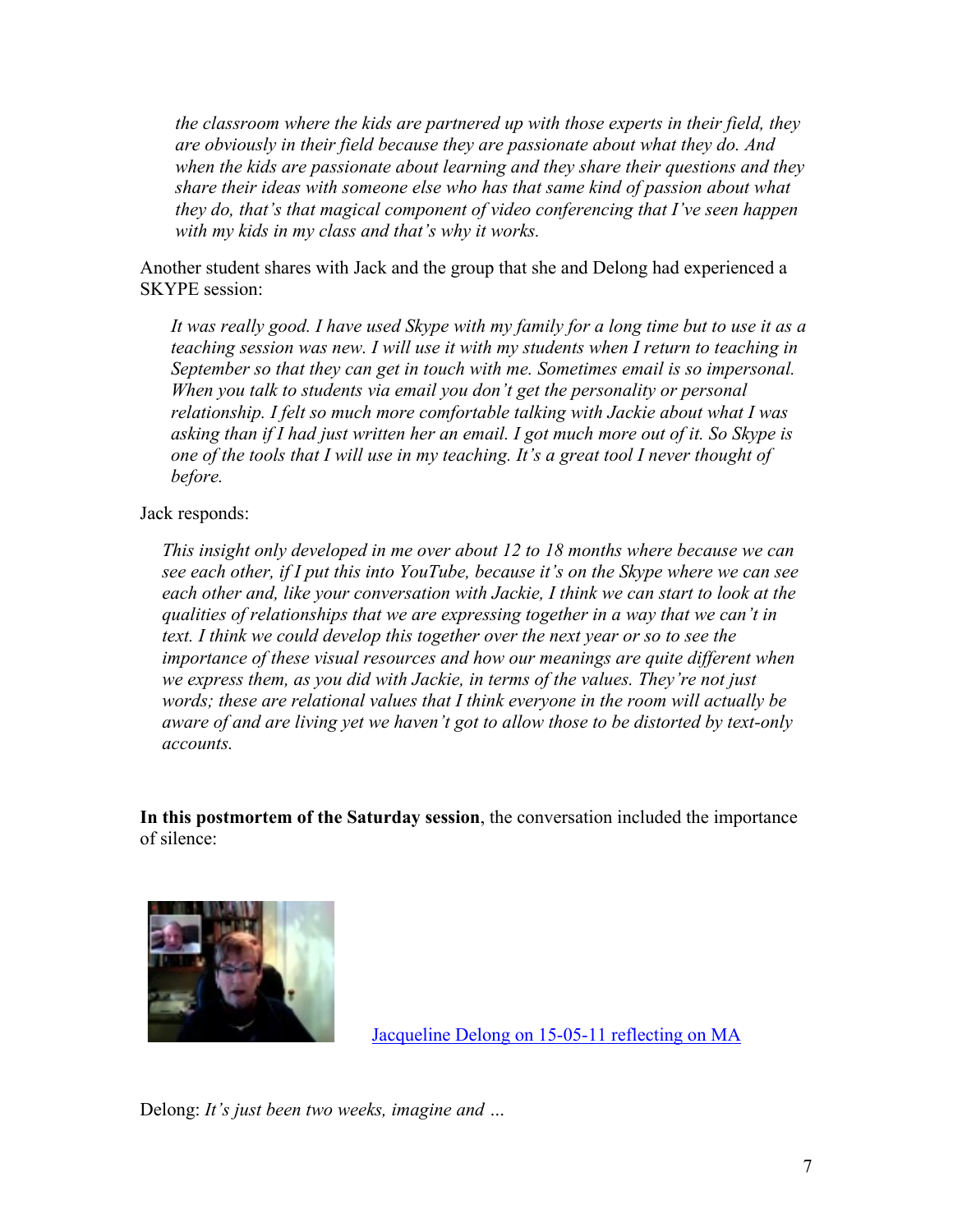*the classroom where the kids are partnered up with those experts in their field, they are obviously in their field because they are passionate about what they do. And when the kids are passionate about learning and they share their questions and they share their ideas with someone else who has that same kind of passion about what they do, that's that magical component of video conferencing that I've seen happen with my kids in my class and that's why it works.* 

Another student shares with Jack and the group that she and Delong had experienced a SKYPE session:

*It was really good. I have used Skype with my family for a long time but to use it as a teaching session was new. I will use it with my students when I return to teaching in September so that they can get in touch with me. Sometimes email is so impersonal. When you talk to students via email you don't get the personality or personal relationship. I felt so much more comfortable talking with Jackie about what I was asking than if I had just written her an email. I got much more out of it. So Skype is one of the tools that I will use in my teaching. It's a great tool I never thought of before.*

### Jack responds:

*This insight only developed in me over about 12 to 18 months where because we can see each other, if I put this into YouTube, because it's on the Skype where we can see each other and, like your conversation with Jackie, I think we can start to look at the qualities of relationships that we are expressing together in a way that we can't in text. I think we could develop this together over the next year or so to see the importance of these visual resources and how our meanings are quite different when we express them, as you did with Jackie, in terms of the values. They're not just words; these are relational values that I think everyone in the room will actually be aware of and are living yet we haven't got to allow those to be distorted by text-only accounts.*

**In this postmortem of the Saturday session**, the conversation included the importance of silence:



Jacqueline Delong on 15-05-11 reflecting on MA

Delong: *It's just been two weeks, imagine and …*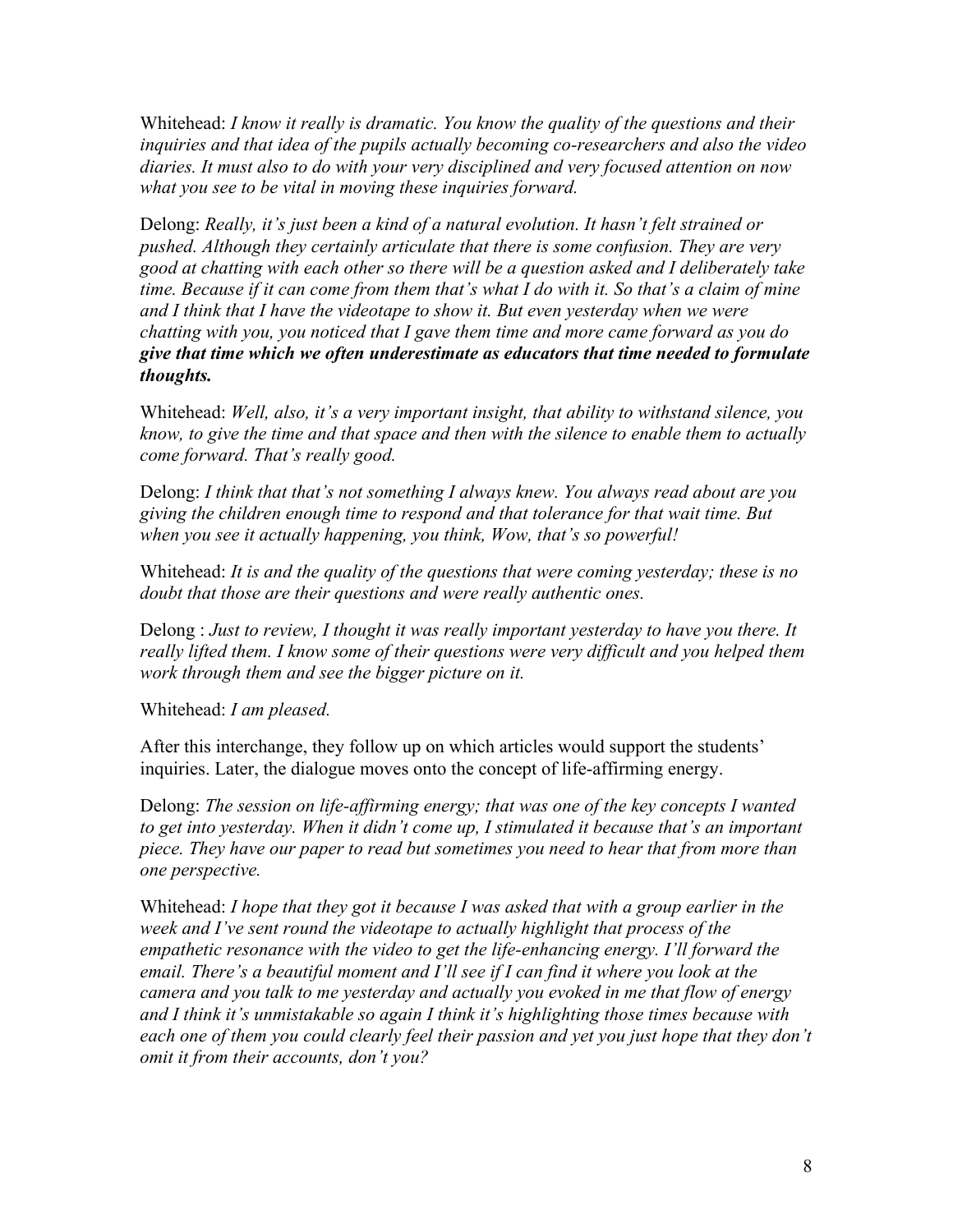Whitehead: *I know it really is dramatic. You know the quality of the questions and their inquiries and that idea of the pupils actually becoming co-researchers and also the video diaries. It must also to do with your very disciplined and very focused attention on now what you see to be vital in moving these inquiries forward.*

Delong: *Really, it's just been a kind of a natural evolution. It hasn't felt strained or pushed. Although they certainly articulate that there is some confusion. They are very good at chatting with each other so there will be a question asked and I deliberately take time. Because if it can come from them that's what I do with it. So that's a claim of mine and I think that I have the videotape to show it. But even yesterday when we were chatting with you, you noticed that I gave them time and more came forward as you do give that time which we often underestimate as educators that time needed to formulate thoughts.*

Whitehead: *Well, also, it's a very important insight, that ability to withstand silence, you know, to give the time and that space and then with the silence to enable them to actually come forward. That's really good.*

Delong: *I think that that's not something I always knew. You always read about are you giving the children enough time to respond and that tolerance for that wait time. But when you see it actually happening, you think, Wow, that's so powerful!* 

Whitehead: *It is and the quality of the questions that were coming yesterday; these is no doubt that those are their questions and were really authentic ones.*

Delong : *Just to review, I thought it was really important yesterday to have you there. It really lifted them. I know some of their questions were very difficult and you helped them work through them and see the bigger picture on it.*

Whitehead: *I am pleased.*

After this interchange, they follow up on which articles would support the students' inquiries. Later, the dialogue moves onto the concept of life-affirming energy.

Delong: *The session on life-affirming energy; that was one of the key concepts I wanted to get into yesterday. When it didn't come up, I stimulated it because that's an important piece. They have our paper to read but sometimes you need to hear that from more than one perspective.*

Whitehead: *I hope that they got it because I was asked that with a group earlier in the week and I've sent round the videotape to actually highlight that process of the empathetic resonance with the video to get the life-enhancing energy. I'll forward the email. There's a beautiful moment and I'll see if I can find it where you look at the camera and you talk to me yesterday and actually you evoked in me that flow of energy and I think it's unmistakable so again I think it's highlighting those times because with each one of them you could clearly feel their passion and yet you just hope that they don't omit it from their accounts, don't you?*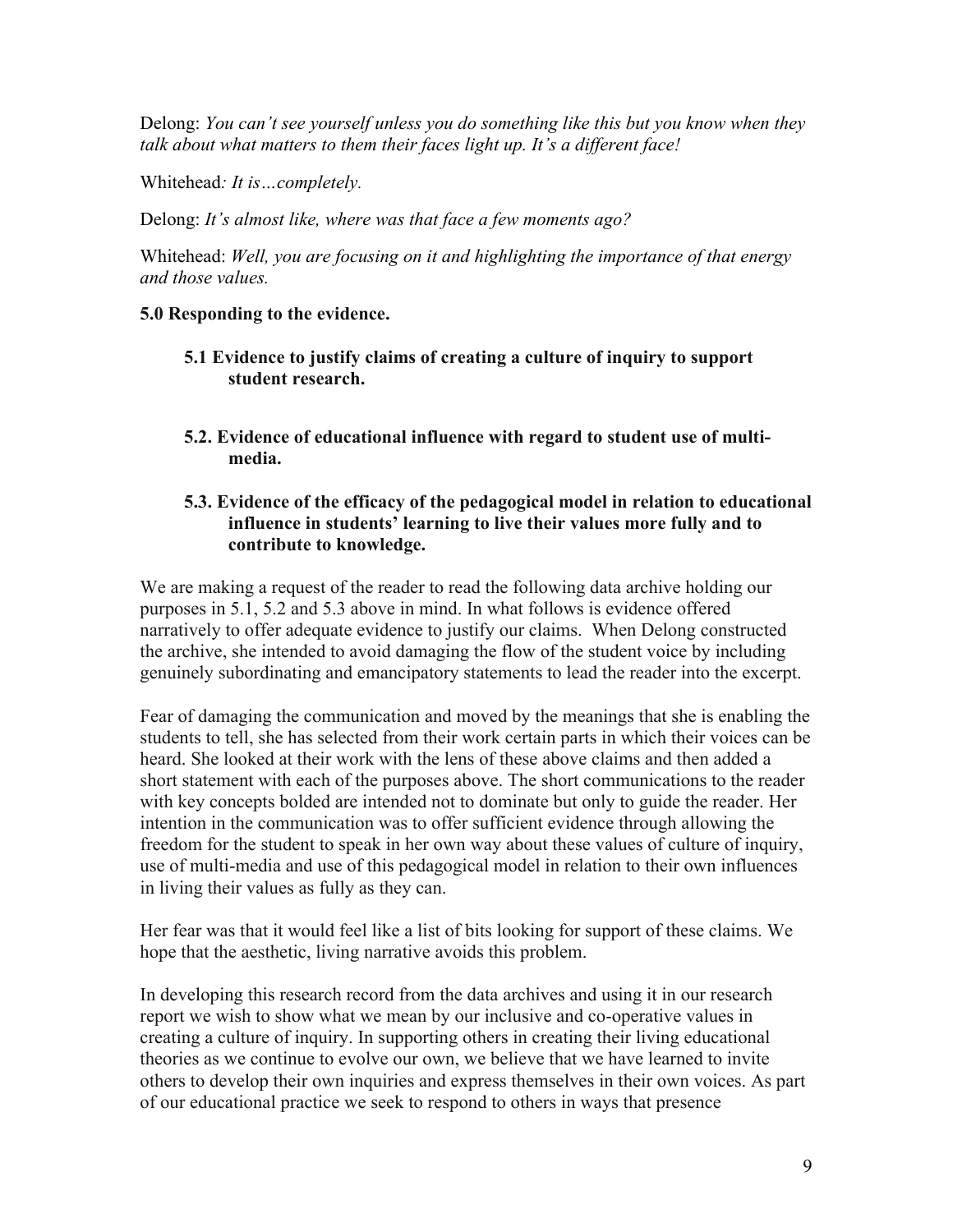Delong: *You can't see yourself unless you do something like this but you know when they talk about what matters to them their faces light up. It's a different face!*

Whitehead*: It is…completely.*

Delong: *It's almost like, where was that face a few moments ago?*

Whitehead: *Well, you are focusing on it and highlighting the importance of that energy and those values.*

# **5.0 Responding to the evidence.**

- **5.1 Evidence to justify claims of creating a culture of inquiry to support student research.**
- **5.2. Evidence of educational influence with regard to student use of multimedia.**

# **5.3. Evidence of the efficacy of the pedagogical model in relation to educational influence in students' learning to live their values more fully and to contribute to knowledge.**

We are making a request of the reader to read the following data archive holding our purposes in 5.1, 5.2 and 5.3 above in mind. In what follows is evidence offered narratively to offer adequate evidence to justify our claims. When Delong constructed the archive, she intended to avoid damaging the flow of the student voice by including genuinely subordinating and emancipatory statements to lead the reader into the excerpt.

Fear of damaging the communication and moved by the meanings that she is enabling the students to tell, she has selected from their work certain parts in which their voices can be heard. She looked at their work with the lens of these above claims and then added a short statement with each of the purposes above. The short communications to the reader with key concepts bolded are intended not to dominate but only to guide the reader. Her intention in the communication was to offer sufficient evidence through allowing the freedom for the student to speak in her own way about these values of culture of inquiry, use of multi-media and use of this pedagogical model in relation to their own influences in living their values as fully as they can.

Her fear was that it would feel like a list of bits looking for support of these claims. We hope that the aesthetic, living narrative avoids this problem.

In developing this research record from the data archives and using it in our research report we wish to show what we mean by our inclusive and co-operative values in creating a culture of inquiry. In supporting others in creating their living educational theories as we continue to evolve our own, we believe that we have learned to invite others to develop their own inquiries and express themselves in their own voices. As part of our educational practice we seek to respond to others in ways that presence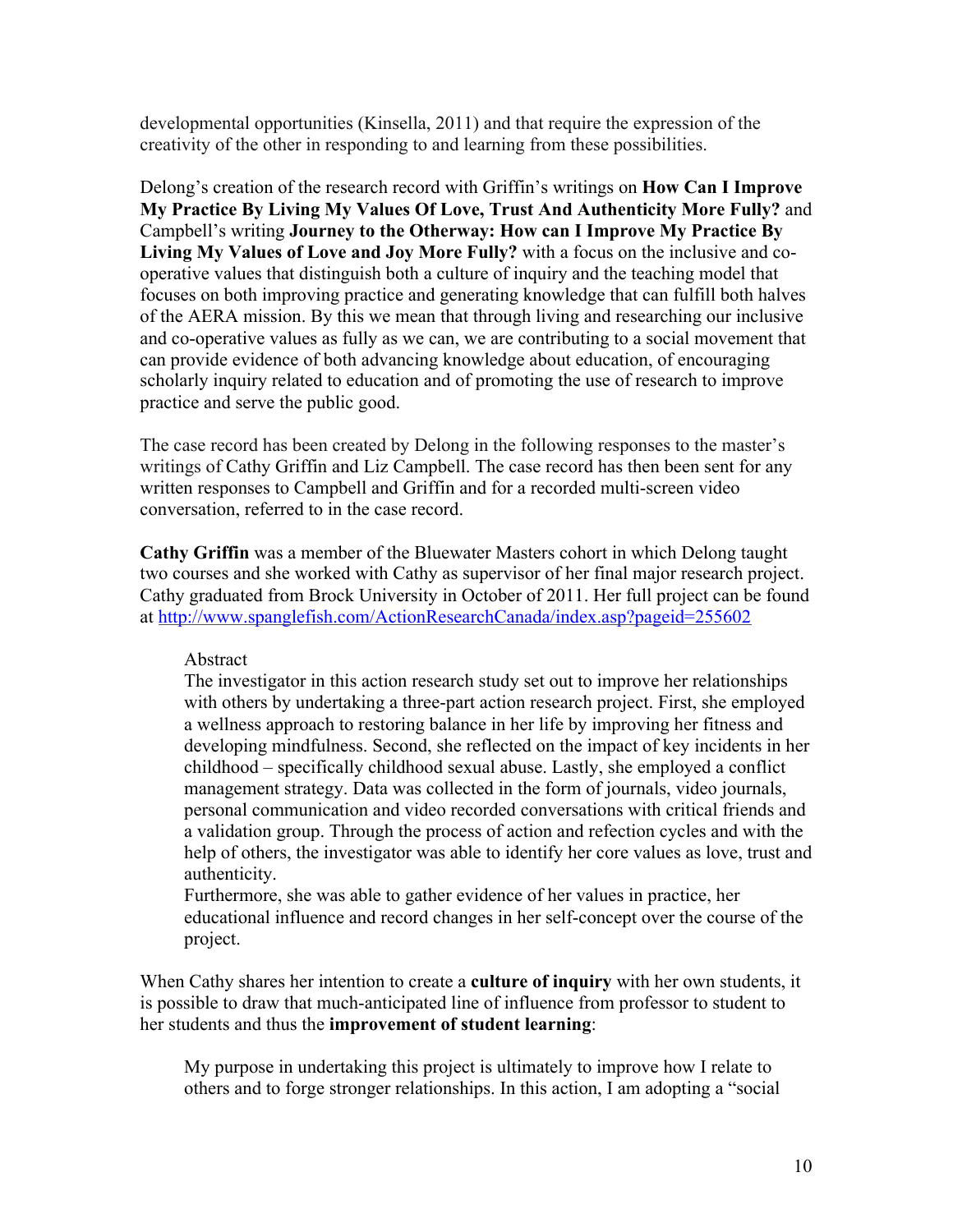developmental opportunities (Kinsella, 2011) and that require the expression of the creativity of the other in responding to and learning from these possibilities.

Delong's creation of the research record with Griffin's writings on **How Can I Improve My Practice By Living My Values Of Love, Trust And Authenticity More Fully?** and Campbell's writing **Journey to the Otherway: How can I Improve My Practice By Living My Values of Love and Joy More Fully?** with a focus on the inclusive and cooperative values that distinguish both a culture of inquiry and the teaching model that focuses on both improving practice and generating knowledge that can fulfill both halves of the AERA mission. By this we mean that through living and researching our inclusive and co-operative values as fully as we can, we are contributing to a social movement that can provide evidence of both advancing knowledge about education, of encouraging scholarly inquiry related to education and of promoting the use of research to improve practice and serve the public good.

The case record has been created by Delong in the following responses to the master's writings of Cathy Griffin and Liz Campbell. The case record has then been sent for any written responses to Campbell and Griffin and for a recorded multi-screen video conversation, referred to in the case record.

**Cathy Griffin** was a member of the Bluewater Masters cohort in which Delong taught two courses and she worked with Cathy as supervisor of her final major research project. Cathy graduated from Brock University in October of 2011. Her full project can be found at http://www.spanglefish.com/ActionResearchCanada/index.asp?pageid=255602

Abstract

The investigator in this action research study set out to improve her relationships with others by undertaking a three-part action research project. First, she employed a wellness approach to restoring balance in her life by improving her fitness and developing mindfulness. Second, she reflected on the impact of key incidents in her childhood – specifically childhood sexual abuse. Lastly, she employed a conflict management strategy. Data was collected in the form of journals, video journals, personal communication and video recorded conversations with critical friends and a validation group. Through the process of action and refection cycles and with the help of others, the investigator was able to identify her core values as love, trust and authenticity.

Furthermore, she was able to gather evidence of her values in practice, her educational influence and record changes in her self-concept over the course of the project.

When Cathy shares her intention to create a **culture of inquiry** with her own students, it is possible to draw that much-anticipated line of influence from professor to student to her students and thus the **improvement of student learning**:

My purpose in undertaking this project is ultimately to improve how I relate to others and to forge stronger relationships. In this action, I am adopting a "social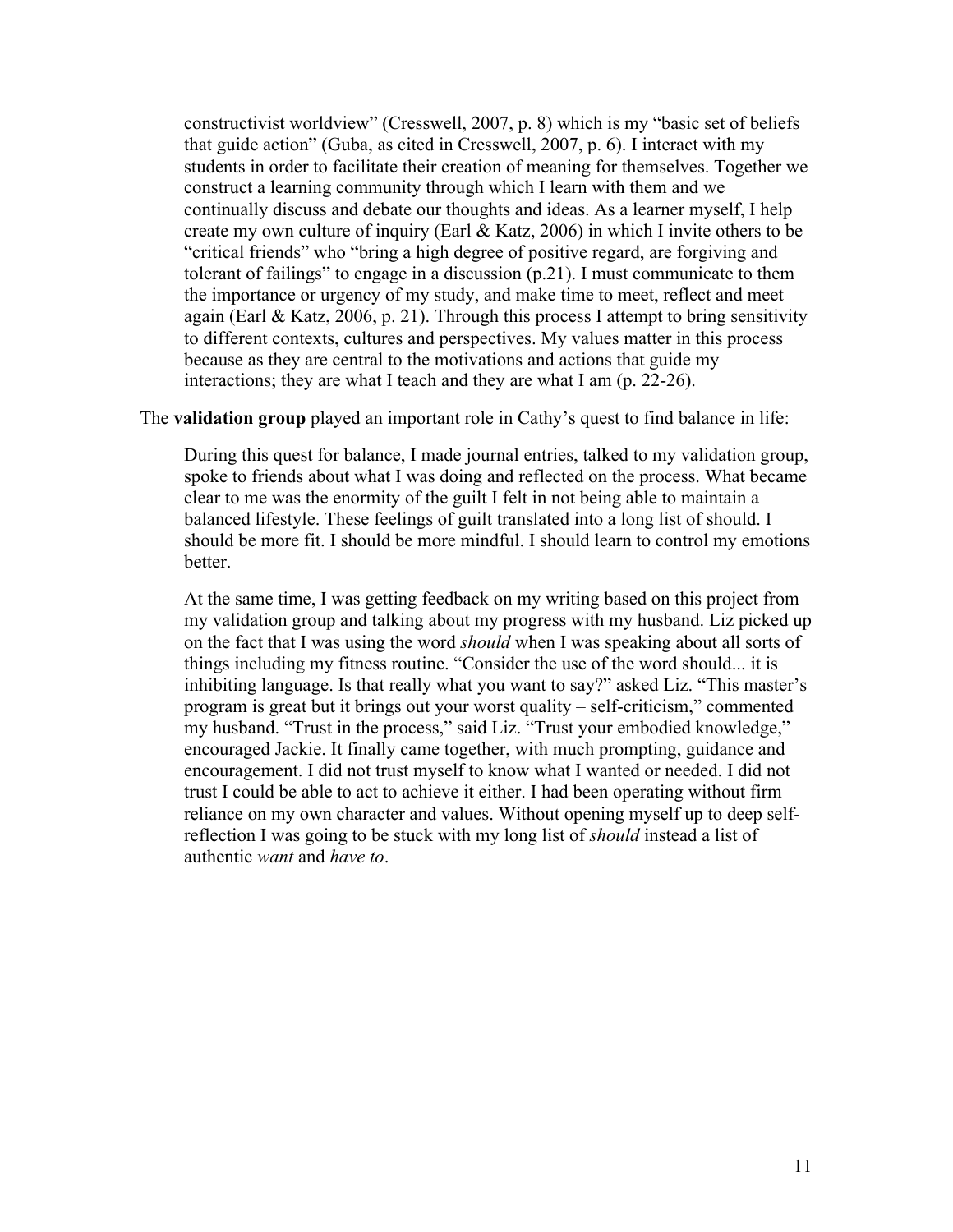constructivist worldview" (Cresswell, 2007, p. 8) which is my "basic set of beliefs that guide action" (Guba, as cited in Cresswell, 2007, p. 6). I interact with my students in order to facilitate their creation of meaning for themselves. Together we construct a learning community through which I learn with them and we continually discuss and debate our thoughts and ideas. As a learner myself, I help create my own culture of inquiry (Earl & Katz, 2006) in which I invite others to be "critical friends" who "bring a high degree of positive regard, are forgiving and tolerant of failings" to engage in a discussion (p.21). I must communicate to them the importance or urgency of my study, and make time to meet, reflect and meet again (Earl & Katz, 2006, p. 21). Through this process I attempt to bring sensitivity to different contexts, cultures and perspectives. My values matter in this process because as they are central to the motivations and actions that guide my interactions; they are what I teach and they are what I am (p. 22-26).

#### The **validation group** played an important role in Cathy's quest to find balance in life:

During this quest for balance, I made journal entries, talked to my validation group, spoke to friends about what I was doing and reflected on the process. What became clear to me was the enormity of the guilt I felt in not being able to maintain a balanced lifestyle. These feelings of guilt translated into a long list of should. I should be more fit. I should be more mindful. I should learn to control my emotions better.

At the same time, I was getting feedback on my writing based on this project from my validation group and talking about my progress with my husband. Liz picked up on the fact that I was using the word *should* when I was speaking about all sorts of things including my fitness routine. "Consider the use of the word should... it is inhibiting language. Is that really what you want to say?" asked Liz. "This master's program is great but it brings out your worst quality – self-criticism," commented my husband. "Trust in the process," said Liz. "Trust your embodied knowledge," encouraged Jackie. It finally came together, with much prompting, guidance and encouragement. I did not trust myself to know what I wanted or needed. I did not trust I could be able to act to achieve it either. I had been operating without firm reliance on my own character and values. Without opening myself up to deep selfreflection I was going to be stuck with my long list of *should* instead a list of authentic *want* and *have to*.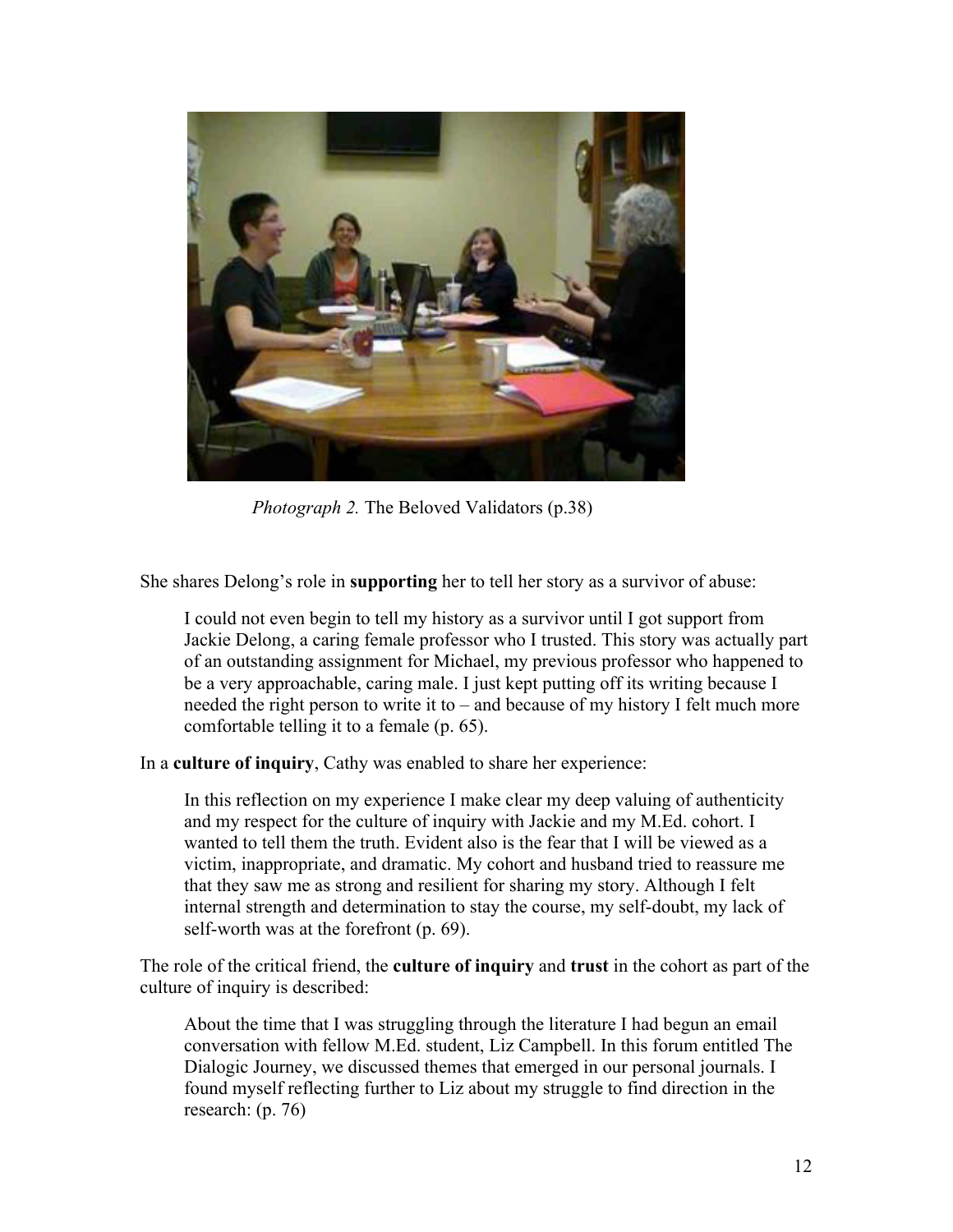

*Photograph 2.* The Beloved Validators (p.38)

She shares Delong's role in **supporting** her to tell her story as a survivor of abuse:

I could not even begin to tell my history as a survivor until I got support from Jackie Delong, a caring female professor who I trusted. This story was actually part of an outstanding assignment for Michael, my previous professor who happened to be a very approachable, caring male. I just kept putting off its writing because I needed the right person to write it to – and because of my history I felt much more comfortable telling it to a female (p. 65).

In a **culture of inquiry**, Cathy was enabled to share her experience:

In this reflection on my experience I make clear my deep valuing of authenticity and my respect for the culture of inquiry with Jackie and my M.Ed. cohort. I wanted to tell them the truth. Evident also is the fear that I will be viewed as a victim, inappropriate, and dramatic. My cohort and husband tried to reassure me that they saw me as strong and resilient for sharing my story. Although I felt internal strength and determination to stay the course, my self-doubt, my lack of self-worth was at the forefront (p. 69).

The role of the critical friend, the **culture of inquiry** and **trust** in the cohort as part of the culture of inquiry is described:

About the time that I was struggling through the literature I had begun an email conversation with fellow M.Ed. student, Liz Campbell. In this forum entitled The Dialogic Journey, we discussed themes that emerged in our personal journals. I found myself reflecting further to Liz about my struggle to find direction in the research: (p. 76)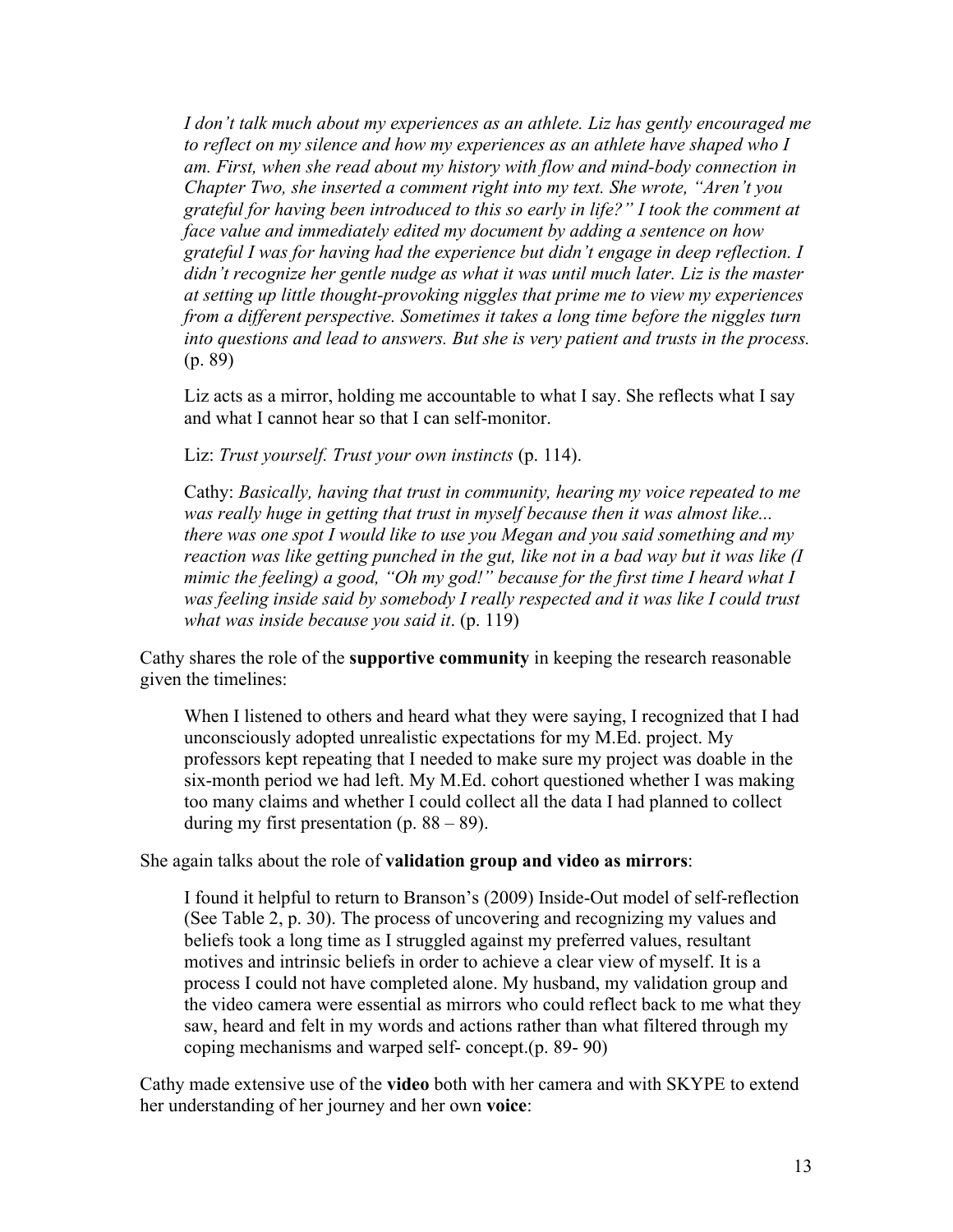*I don't talk much about my experiences as an athlete. Liz has gently encouraged me*  to reflect on my silence and how my experiences as an athlete have shaped who I *am. First, when she read about my history with flow and mind-body connection in Chapter Two, she inserted a comment right into my text. She wrote, "Aren't you grateful for having been introduced to this so early in life?" I took the comment at face value and immediately edited my document by adding a sentence on how grateful I was for having had the experience but didn't engage in deep reflection. I didn't recognize her gentle nudge as what it was until much later. Liz is the master at setting up little thought-provoking niggles that prime me to view my experiences from a different perspective. Sometimes it takes a long time before the niggles turn into questions and lead to answers. But she is very patient and trusts in the process.*  (p. 89)

Liz acts as a mirror, holding me accountable to what I say. She reflects what I say and what I cannot hear so that I can self-monitor.

Liz: *Trust yourself. Trust your own instincts* (p. 114).

Cathy: *Basically, having that trust in community, hearing my voice repeated to me was really huge in getting that trust in myself because then it was almost like... there was one spot I would like to use you Megan and you said something and my reaction was like getting punched in the gut, like not in a bad way but it was like (I mimic the feeling) a good, "Oh my god!" because for the first time I heard what I*  was feeling inside said by somebody I really respected and it was like I could trust *what was inside because you said it*. (p. 119)

Cathy shares the role of the **supportive community** in keeping the research reasonable given the timelines:

When I listened to others and heard what they were saying, I recognized that I had unconsciously adopted unrealistic expectations for my M.Ed. project. My professors kept repeating that I needed to make sure my project was doable in the six-month period we had left. My M.Ed. cohort questioned whether I was making too many claims and whether I could collect all the data I had planned to collect during my first presentation (p.  $88 - 89$ ).

She again talks about the role of **validation group and video as mirrors**:

I found it helpful to return to Branson's (2009) Inside-Out model of self-reflection (See Table 2, p. 30). The process of uncovering and recognizing my values and beliefs took a long time as I struggled against my preferred values, resultant motives and intrinsic beliefs in order to achieve a clear view of myself. It is a process I could not have completed alone. My husband, my validation group and the video camera were essential as mirrors who could reflect back to me what they saw, heard and felt in my words and actions rather than what filtered through my coping mechanisms and warped self- concept.(p. 89- 90)

Cathy made extensive use of the **video** both with her camera and with SKYPE to extend her understanding of her journey and her own **voice**: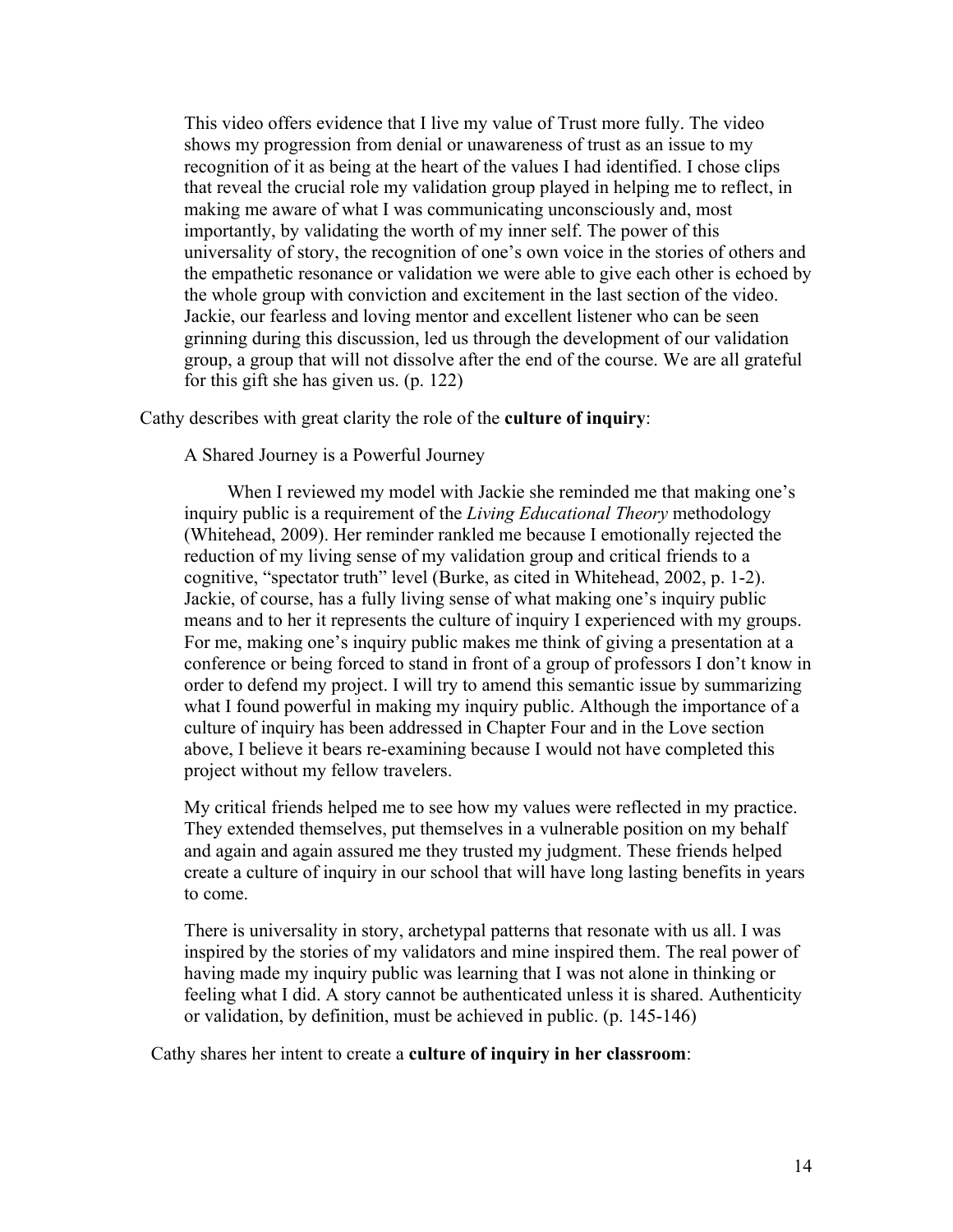This video offers evidence that I live my value of Trust more fully. The video shows my progression from denial or unawareness of trust as an issue to my recognition of it as being at the heart of the values I had identified. I chose clips that reveal the crucial role my validation group played in helping me to reflect, in making me aware of what I was communicating unconsciously and, most importantly, by validating the worth of my inner self. The power of this universality of story, the recognition of one's own voice in the stories of others and the empathetic resonance or validation we were able to give each other is echoed by the whole group with conviction and excitement in the last section of the video. Jackie, our fearless and loving mentor and excellent listener who can be seen grinning during this discussion, led us through the development of our validation group, a group that will not dissolve after the end of the course. We are all grateful for this gift she has given us. (p. 122)

### Cathy describes with great clarity the role of the **culture of inquiry**:

A Shared Journey is a Powerful Journey

When I reviewed my model with Jackie she reminded me that making one's inquiry public is a requirement of the *Living Educational Theory* methodology (Whitehead, 2009). Her reminder rankled me because I emotionally rejected the reduction of my living sense of my validation group and critical friends to a cognitive, "spectator truth" level (Burke, as cited in Whitehead, 2002, p. 1-2). Jackie, of course, has a fully living sense of what making one's inquiry public means and to her it represents the culture of inquiry I experienced with my groups. For me, making one's inquiry public makes me think of giving a presentation at a conference or being forced to stand in front of a group of professors I don't know in order to defend my project. I will try to amend this semantic issue by summarizing what I found powerful in making my inquiry public. Although the importance of a culture of inquiry has been addressed in Chapter Four and in the Love section above, I believe it bears re-examining because I would not have completed this project without my fellow travelers.

My critical friends helped me to see how my values were reflected in my practice. They extended themselves, put themselves in a vulnerable position on my behalf and again and again assured me they trusted my judgment. These friends helped create a culture of inquiry in our school that will have long lasting benefits in years to come.

There is universality in story, archetypal patterns that resonate with us all. I was inspired by the stories of my validators and mine inspired them. The real power of having made my inquiry public was learning that I was not alone in thinking or feeling what I did. A story cannot be authenticated unless it is shared. Authenticity or validation, by definition, must be achieved in public. (p. 145-146)

Cathy shares her intent to create a **culture of inquiry in her classroom**: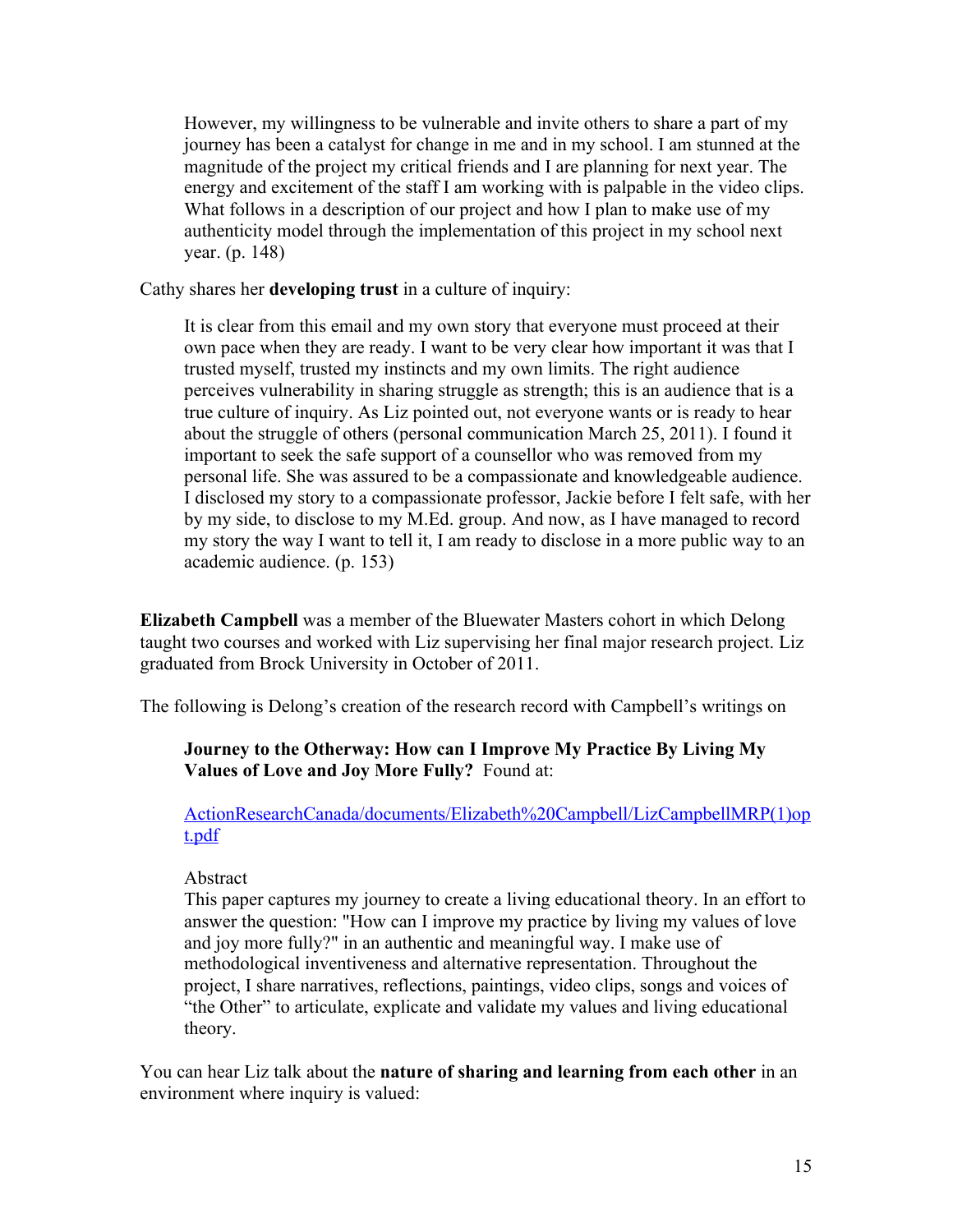However, my willingness to be vulnerable and invite others to share a part of my journey has been a catalyst for change in me and in my school. I am stunned at the magnitude of the project my critical friends and I are planning for next year. The energy and excitement of the staff I am working with is palpable in the video clips. What follows in a description of our project and how I plan to make use of my authenticity model through the implementation of this project in my school next year. (p. 148)

Cathy shares her **developing trust** in a culture of inquiry:

It is clear from this email and my own story that everyone must proceed at their own pace when they are ready. I want to be very clear how important it was that I trusted myself, trusted my instincts and my own limits. The right audience perceives vulnerability in sharing struggle as strength; this is an audience that is a true culture of inquiry. As Liz pointed out, not everyone wants or is ready to hear about the struggle of others (personal communication March 25, 2011). I found it important to seek the safe support of a counsellor who was removed from my personal life. She was assured to be a compassionate and knowledgeable audience. I disclosed my story to a compassionate professor, Jackie before I felt safe, with her by my side, to disclose to my M.Ed. group. And now, as I have managed to record my story the way I want to tell it, I am ready to disclose in a more public way to an academic audience. (p. 153)

**Elizabeth Campbell** was a member of the Bluewater Masters cohort in which Delong taught two courses and worked with Liz supervising her final major research project. Liz graduated from Brock University in October of 2011.

The following is Delong's creation of the research record with Campbell's writings on

# **Journey to the Otherway: How can I Improve My Practice By Living My Values of Love and Joy More Fully?** Found at:

ActionResearchCanada/documents/Elizabeth%20Campbell/LizCampbellMRP(1)op t.pdf

# Abstract

This paper captures my journey to create a living educational theory. In an effort to answer the question: "How can I improve my practice by living my values of love and joy more fully?" in an authentic and meaningful way. I make use of methodological inventiveness and alternative representation. Throughout the project, I share narratives, reflections, paintings, video clips, songs and voices of "the Other" to articulate, explicate and validate my values and living educational theory.

You can hear Liz talk about the **nature of sharing and learning from each other** in an environment where inquiry is valued: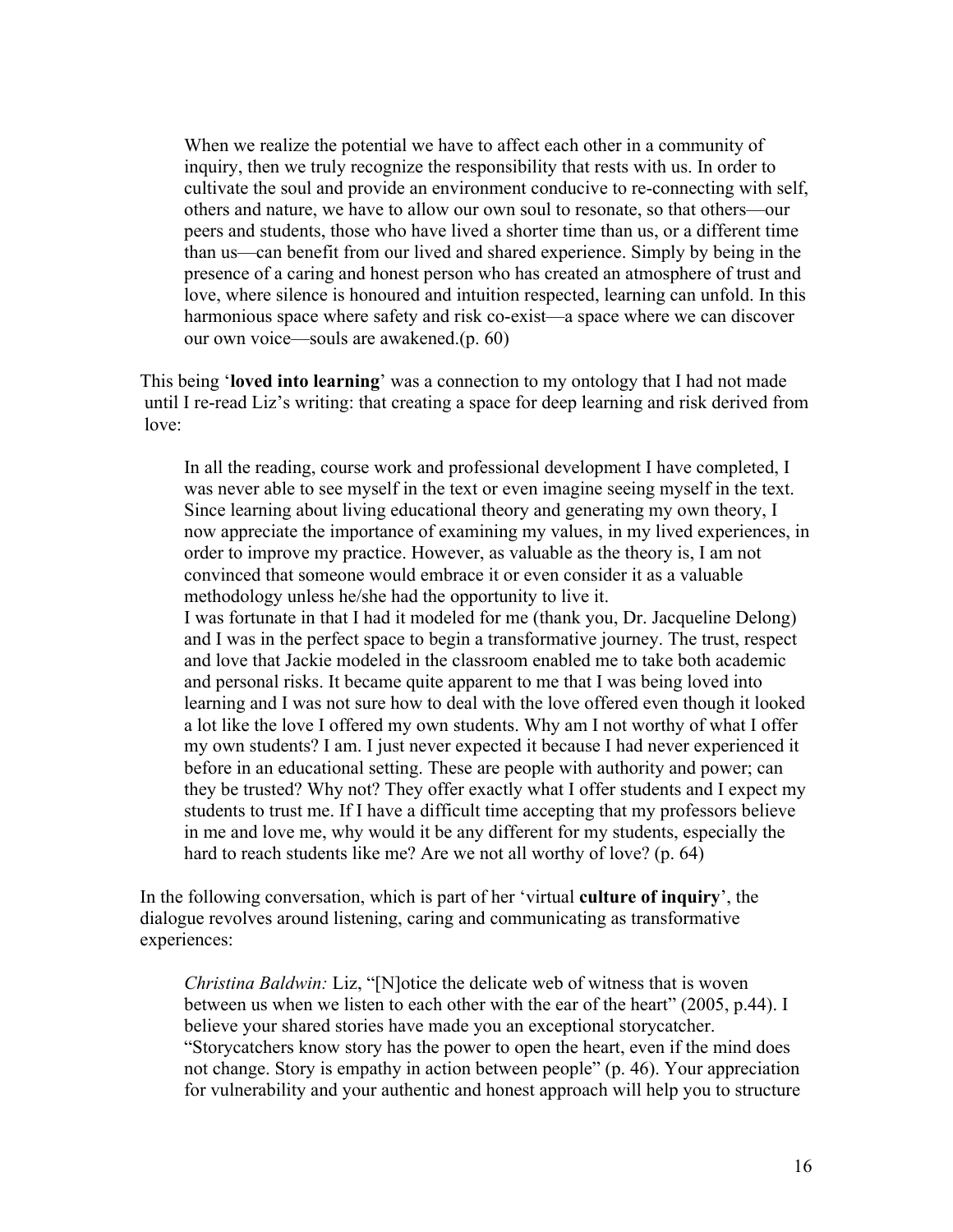When we realize the potential we have to affect each other in a community of inquiry, then we truly recognize the responsibility that rests with us. In order to cultivate the soul and provide an environment conducive to re-connecting with self, others and nature, we have to allow our own soul to resonate, so that others—our peers and students, those who have lived a shorter time than us, or a different time than us—can benefit from our lived and shared experience. Simply by being in the presence of a caring and honest person who has created an atmosphere of trust and love, where silence is honoured and intuition respected, learning can unfold. In this harmonious space where safety and risk co-exist—a space where we can discover our own voice—souls are awakened.(p. 60)

This being '**loved into learning**' was a connection to my ontology that I had not made until I re-read Liz's writing: that creating a space for deep learning and risk derived from love:

In all the reading, course work and professional development I have completed, I was never able to see myself in the text or even imagine seeing myself in the text. Since learning about living educational theory and generating my own theory, I now appreciate the importance of examining my values, in my lived experiences, in order to improve my practice. However, as valuable as the theory is, I am not convinced that someone would embrace it or even consider it as a valuable methodology unless he/she had the opportunity to live it. I was fortunate in that I had it modeled for me (thank you, Dr. Jacqueline Delong) and I was in the perfect space to begin a transformative journey. The trust, respect and love that Jackie modeled in the classroom enabled me to take both academic and personal risks. It became quite apparent to me that I was being loved into learning and I was not sure how to deal with the love offered even though it looked a lot like the love I offered my own students. Why am I not worthy of what I offer my own students? I am. I just never expected it because I had never experienced it before in an educational setting. These are people with authority and power; can they be trusted? Why not? They offer exactly what I offer students and I expect my students to trust me. If I have a difficult time accepting that my professors believe in me and love me, why would it be any different for my students, especially the hard to reach students like me? Are we not all worthy of love? (p. 64)

In the following conversation, which is part of her 'virtual **culture of inquiry**', the dialogue revolves around listening, caring and communicating as transformative experiences:

*Christina Baldwin:* Liz, "[N]otice the delicate web of witness that is woven between us when we listen to each other with the ear of the heart" (2005, p.44). I believe your shared stories have made you an exceptional storycatcher. "Storycatchers know story has the power to open the heart, even if the mind does not change. Story is empathy in action between people" (p. 46). Your appreciation for vulnerability and your authentic and honest approach will help you to structure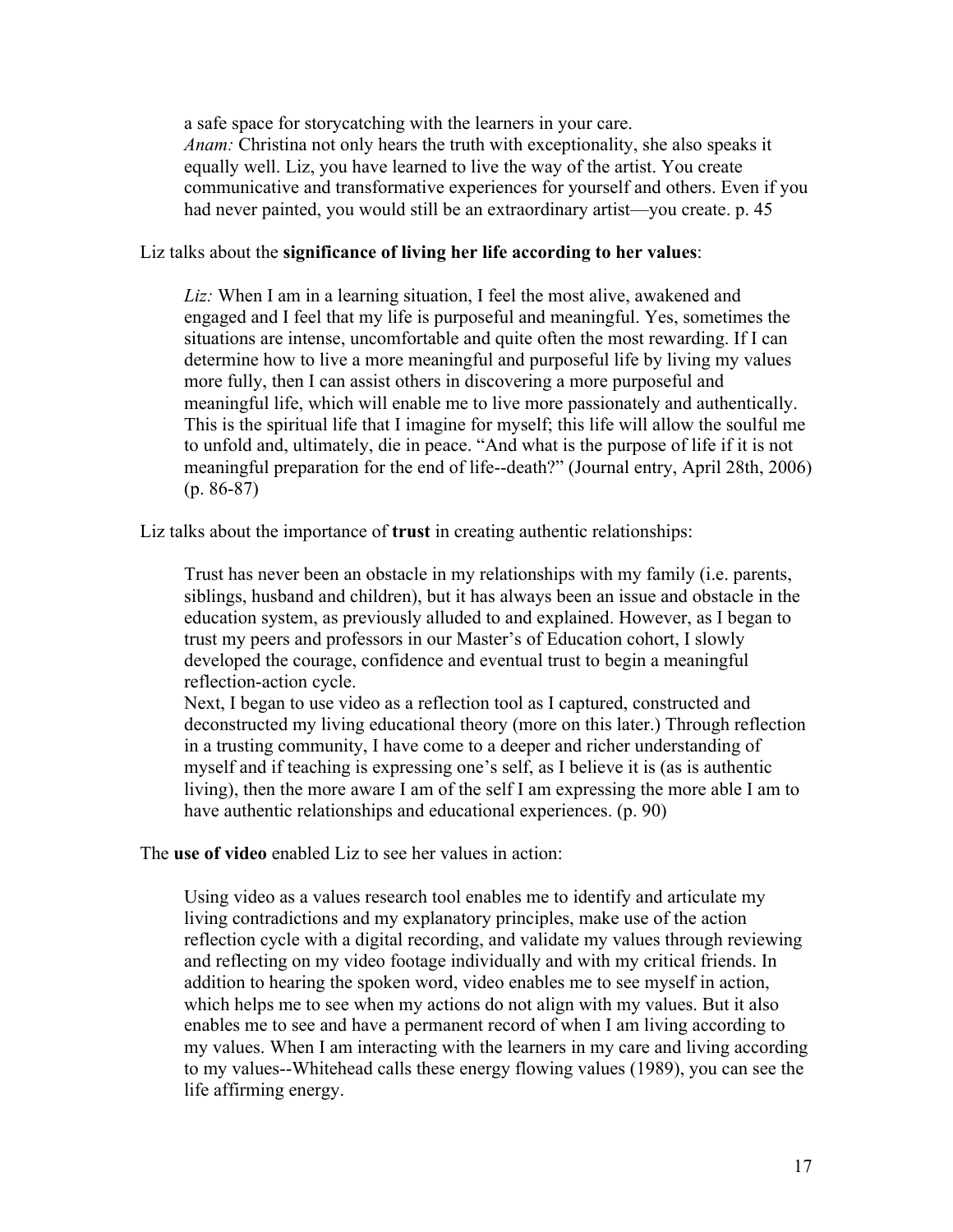a safe space for storycatching with the learners in your care. *Anam:* Christina not only hears the truth with exceptionality, she also speaks it equally well. Liz, you have learned to live the way of the artist. You create communicative and transformative experiences for yourself and others. Even if you had never painted, you would still be an extraordinary artist—you create. p. 45

#### Liz talks about the **significance of living her life according to her values**:

*Liz:* When I am in a learning situation, I feel the most alive, awakened and engaged and I feel that my life is purposeful and meaningful. Yes, sometimes the situations are intense, uncomfortable and quite often the most rewarding. If I can determine how to live a more meaningful and purposeful life by living my values more fully, then I can assist others in discovering a more purposeful and meaningful life, which will enable me to live more passionately and authentically. This is the spiritual life that I imagine for myself; this life will allow the soulful me to unfold and, ultimately, die in peace. "And what is the purpose of life if it is not meaningful preparation for the end of life--death?" (Journal entry, April 28th, 2006) (p. 86-87)

Liz talks about the importance of **trust** in creating authentic relationships:

Trust has never been an obstacle in my relationships with my family (i.e. parents, siblings, husband and children), but it has always been an issue and obstacle in the education system, as previously alluded to and explained. However, as I began to trust my peers and professors in our Master's of Education cohort, I slowly developed the courage, confidence and eventual trust to begin a meaningful reflection-action cycle.

Next, I began to use video as a reflection tool as I captured, constructed and deconstructed my living educational theory (more on this later.) Through reflection in a trusting community, I have come to a deeper and richer understanding of myself and if teaching is expressing one's self, as I believe it is (as is authentic living), then the more aware I am of the self I am expressing the more able I am to have authentic relationships and educational experiences. (p. 90)

The **use of video** enabled Liz to see her values in action:

Using video as a values research tool enables me to identify and articulate my living contradictions and my explanatory principles, make use of the action reflection cycle with a digital recording, and validate my values through reviewing and reflecting on my video footage individually and with my critical friends. In addition to hearing the spoken word, video enables me to see myself in action, which helps me to see when my actions do not align with my values. But it also enables me to see and have a permanent record of when I am living according to my values. When I am interacting with the learners in my care and living according to my values--Whitehead calls these energy flowing values (1989), you can see the life affirming energy.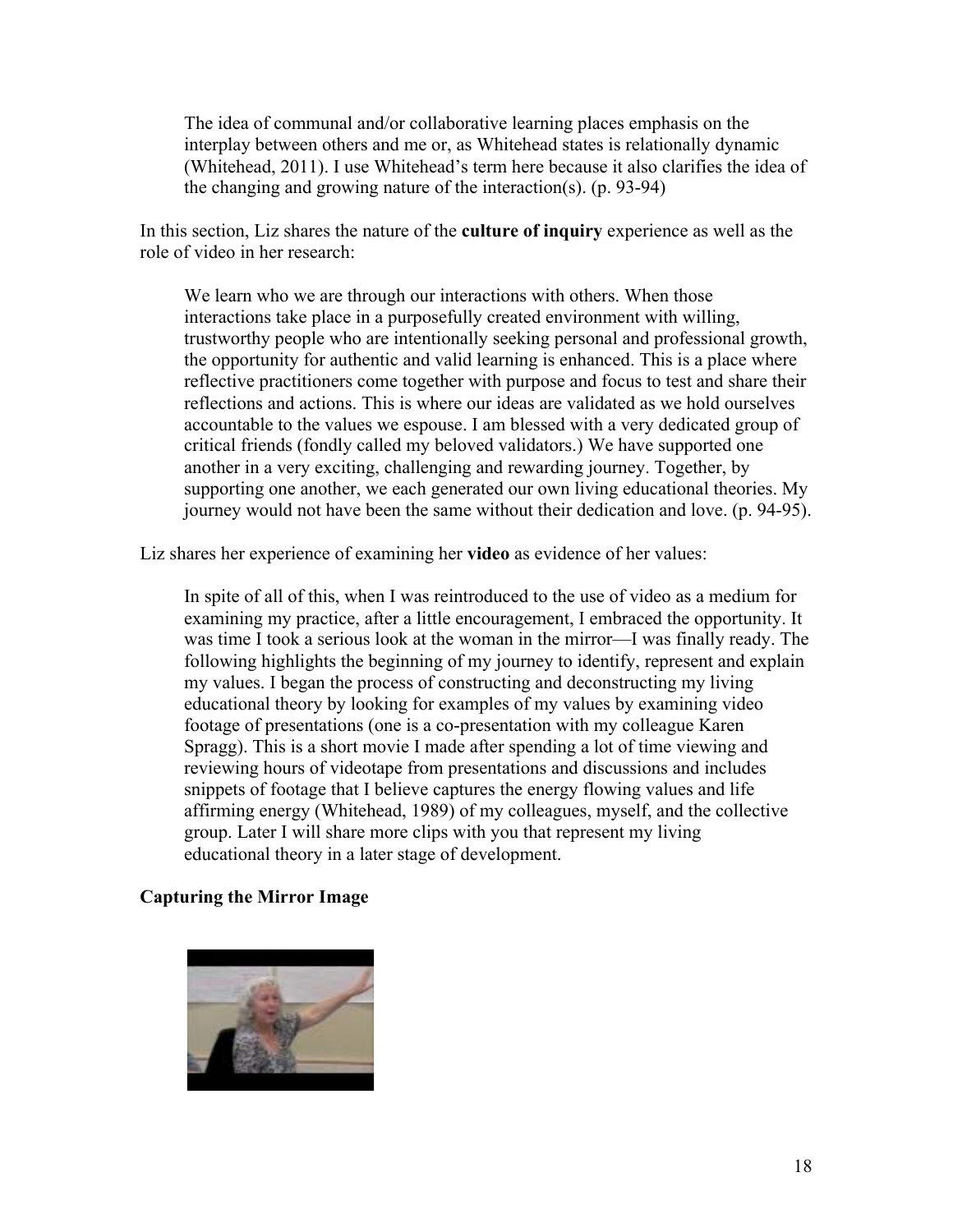The idea of communal and/or collaborative learning places emphasis on the interplay between others and me or, as Whitehead states is relationally dynamic (Whitehead, 2011). I use Whitehead's term here because it also clarifies the idea of the changing and growing nature of the interaction(s). (p. 93-94)

In this section, Liz shares the nature of the **culture of inquiry** experience as well as the role of video in her research:

We learn who we are through our interactions with others. When those interactions take place in a purposefully created environment with willing, trustworthy people who are intentionally seeking personal and professional growth, the opportunity for authentic and valid learning is enhanced. This is a place where reflective practitioners come together with purpose and focus to test and share their reflections and actions. This is where our ideas are validated as we hold ourselves accountable to the values we espouse. I am blessed with a very dedicated group of critical friends (fondly called my beloved validators.) We have supported one another in a very exciting, challenging and rewarding journey. Together, by supporting one another, we each generated our own living educational theories. My journey would not have been the same without their dedication and love. (p. 94-95).

Liz shares her experience of examining her **video** as evidence of her values:

In spite of all of this, when I was reintroduced to the use of video as a medium for examining my practice, after a little encouragement, I embraced the opportunity. It was time I took a serious look at the woman in the mirror—I was finally ready. The following highlights the beginning of my journey to identify, represent and explain my values. I began the process of constructing and deconstructing my living educational theory by looking for examples of my values by examining video footage of presentations (one is a co-presentation with my colleague Karen Spragg). This is a short movie I made after spending a lot of time viewing and reviewing hours of videotape from presentations and discussions and includes snippets of footage that I believe captures the energy flowing values and life affirming energy (Whitehead, 1989) of my colleagues, myself, and the collective group. Later I will share more clips with you that represent my living educational theory in a later stage of development.

### **Capturing the Mirror Image**

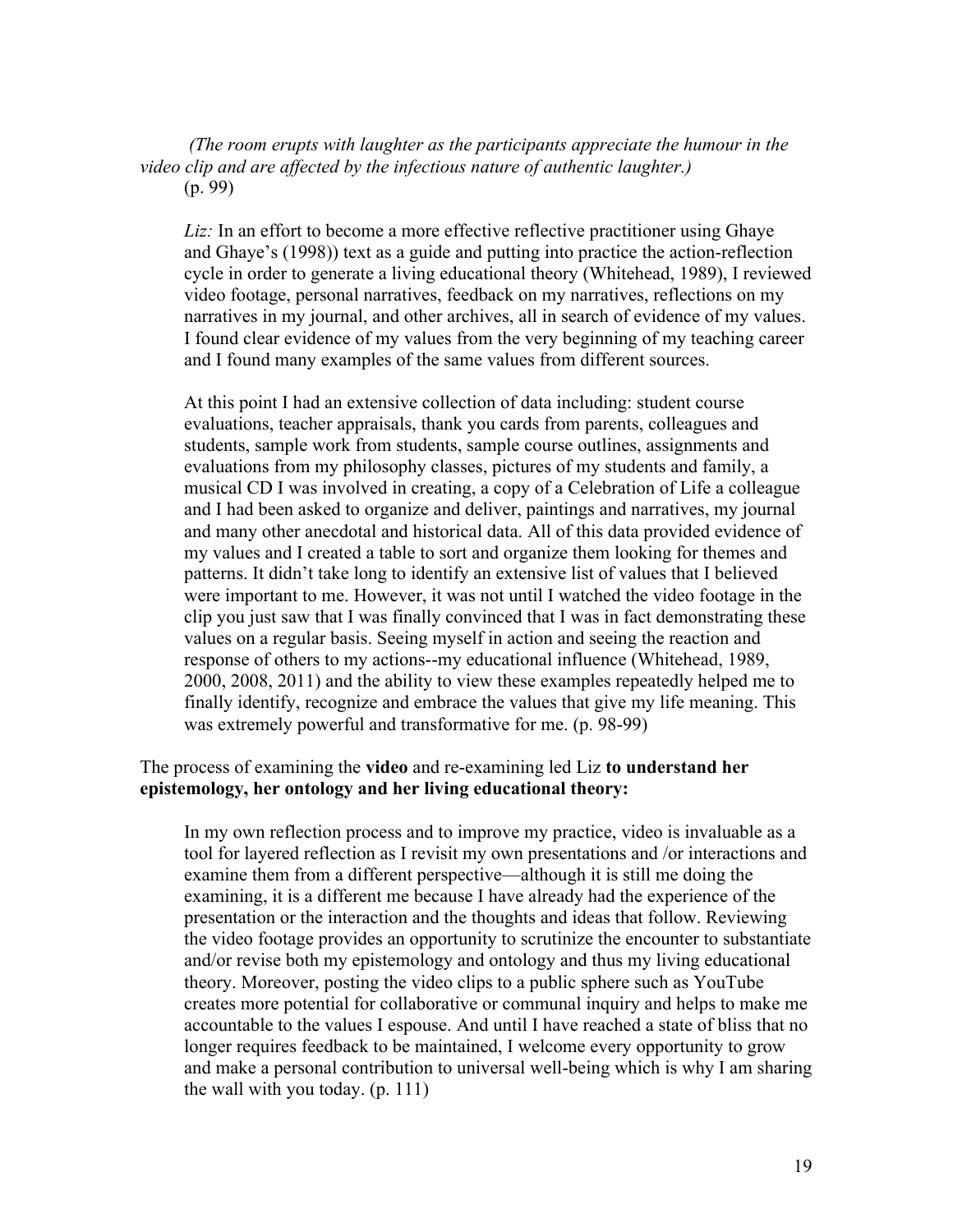*(The room erupts with laughter as the participants appreciate the humour in the video clip and are affected by the infectious nature of authentic laughter.)* (p. 99)

Liz: In an effort to become a more effective reflective practitioner using Ghaye and Ghaye's (1998)) text as a guide and putting into practice the action-reflection cycle in order to generate a living educational theory (Whitehead, 1989), I reviewed video footage, personal narratives, feedback on my narratives, reflections on my narratives in my journal, and other archives, all in search of evidence of my values. I found clear evidence of my values from the very beginning of my teaching career and I found many examples of the same values from different sources.

At this point I had an extensive collection of data including: student course evaluations, teacher appraisals, thank you cards from parents, colleagues and students, sample work from students, sample course outlines, assignments and evaluations from my philosophy classes, pictures of my students and family, a musical CD I was involved in creating, a copy of a Celebration of Life a colleague and I had been asked to organize and deliver, paintings and narratives, my journal and many other anecdotal and historical data. All of this data provided evidence of my values and I created a table to sort and organize them looking for themes and patterns. It didn't take long to identify an extensive list of values that I believed were important to me. However, it was not until I watched the video footage in the clip you just saw that I was finally convinced that I was in fact demonstrating these values on a regular basis. Seeing myself in action and seeing the reaction and response of others to my actions--my educational influence (Whitehead, 1989, 2000, 2008, 2011) and the ability to view these examples repeatedly helped me to finally identify, recognize and embrace the values that give my life meaning. This was extremely powerful and transformative for me. (p. 98-99)

### The process of examining the **video** and re-examining led Liz **to understand her epistemology, her ontology and her living educational theory:**

In my own reflection process and to improve my practice, video is invaluable as a tool for layered reflection as I revisit my own presentations and /or interactions and examine them from a different perspective—although it is still me doing the examining, it is a different me because I have already had the experience of the presentation or the interaction and the thoughts and ideas that follow. Reviewing the video footage provides an opportunity to scrutinize the encounter to substantiate and/or revise both my epistemology and ontology and thus my living educational theory. Moreover, posting the video clips to a public sphere such as YouTube creates more potential for collaborative or communal inquiry and helps to make me accountable to the values I espouse. And until I have reached a state of bliss that no longer requires feedback to be maintained, I welcome every opportunity to grow and make a personal contribution to universal well-being which is why I am sharing the wall with you today. (p. 111)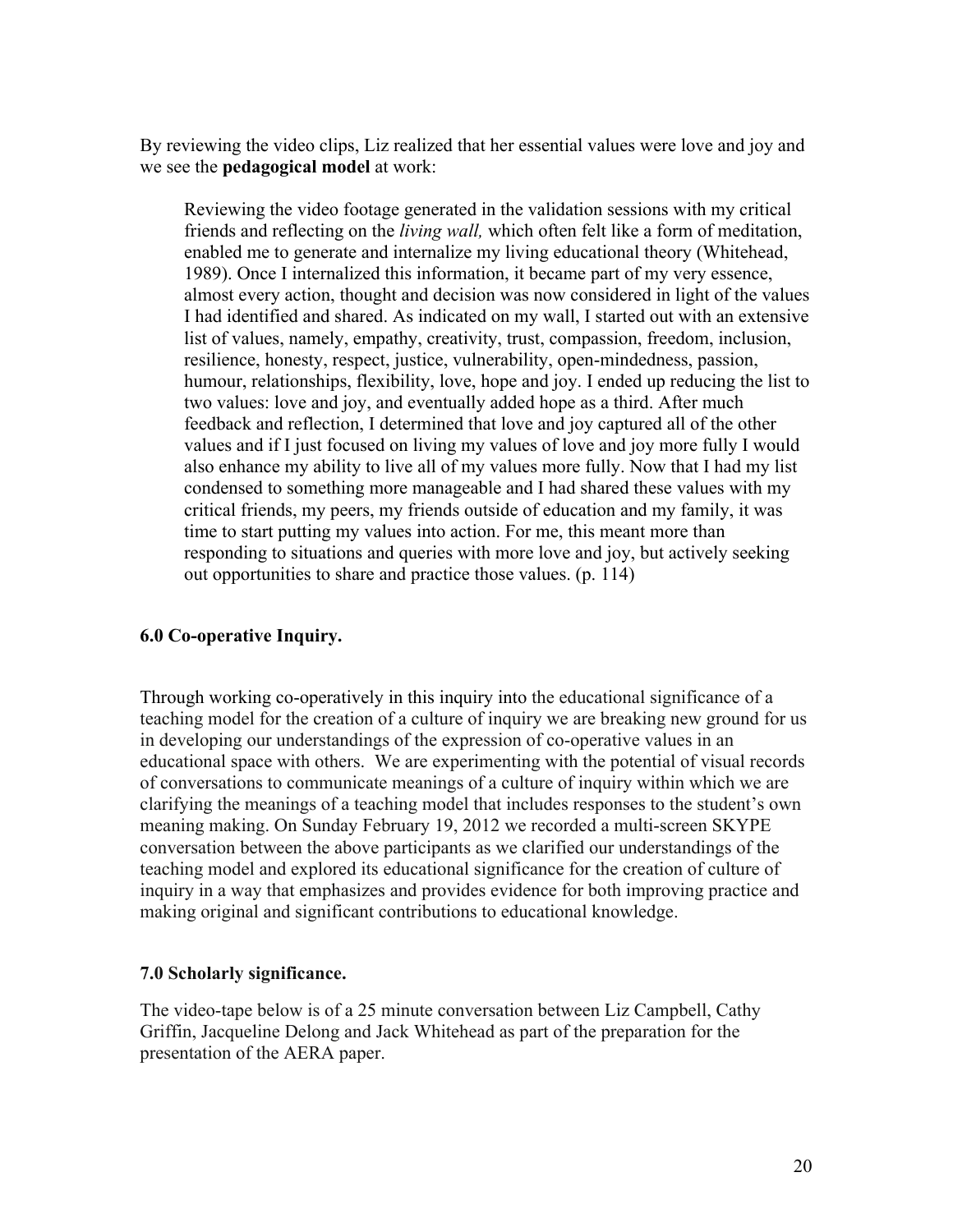By reviewing the video clips, Liz realized that her essential values were love and joy and we see the **pedagogical model** at work:

Reviewing the video footage generated in the validation sessions with my critical friends and reflecting on the *living wall,* which often felt like a form of meditation, enabled me to generate and internalize my living educational theory (Whitehead, 1989). Once I internalized this information, it became part of my very essence, almost every action, thought and decision was now considered in light of the values I had identified and shared. As indicated on my wall, I started out with an extensive list of values, namely, empathy, creativity, trust, compassion, freedom, inclusion, resilience, honesty, respect, justice, vulnerability, open-mindedness, passion, humour, relationships, flexibility, love, hope and joy. I ended up reducing the list to two values: love and joy, and eventually added hope as a third. After much feedback and reflection, I determined that love and joy captured all of the other values and if I just focused on living my values of love and joy more fully I would also enhance my ability to live all of my values more fully. Now that I had my list condensed to something more manageable and I had shared these values with my critical friends, my peers, my friends outside of education and my family, it was time to start putting my values into action. For me, this meant more than responding to situations and queries with more love and joy, but actively seeking out opportunities to share and practice those values. (p. 114)

# **6.0 Co-operative Inquiry.**

Through working co-operatively in this inquiry into the educational significance of a teaching model for the creation of a culture of inquiry we are breaking new ground for us in developing our understandings of the expression of co-operative values in an educational space with others. We are experimenting with the potential of visual records of conversations to communicate meanings of a culture of inquiry within which we are clarifying the meanings of a teaching model that includes responses to the student's own meaning making. On Sunday February 19, 2012 we recorded a multi-screen SKYPE conversation between the above participants as we clarified our understandings of the teaching model and explored its educational significance for the creation of culture of inquiry in a way that emphasizes and provides evidence for both improving practice and making original and significant contributions to educational knowledge.

# **7.0 Scholarly significance.**

The video-tape below is of a 25 minute conversation between Liz Campbell, Cathy Griffin, Jacqueline Delong and Jack Whitehead as part of the preparation for the presentation of the AERA paper.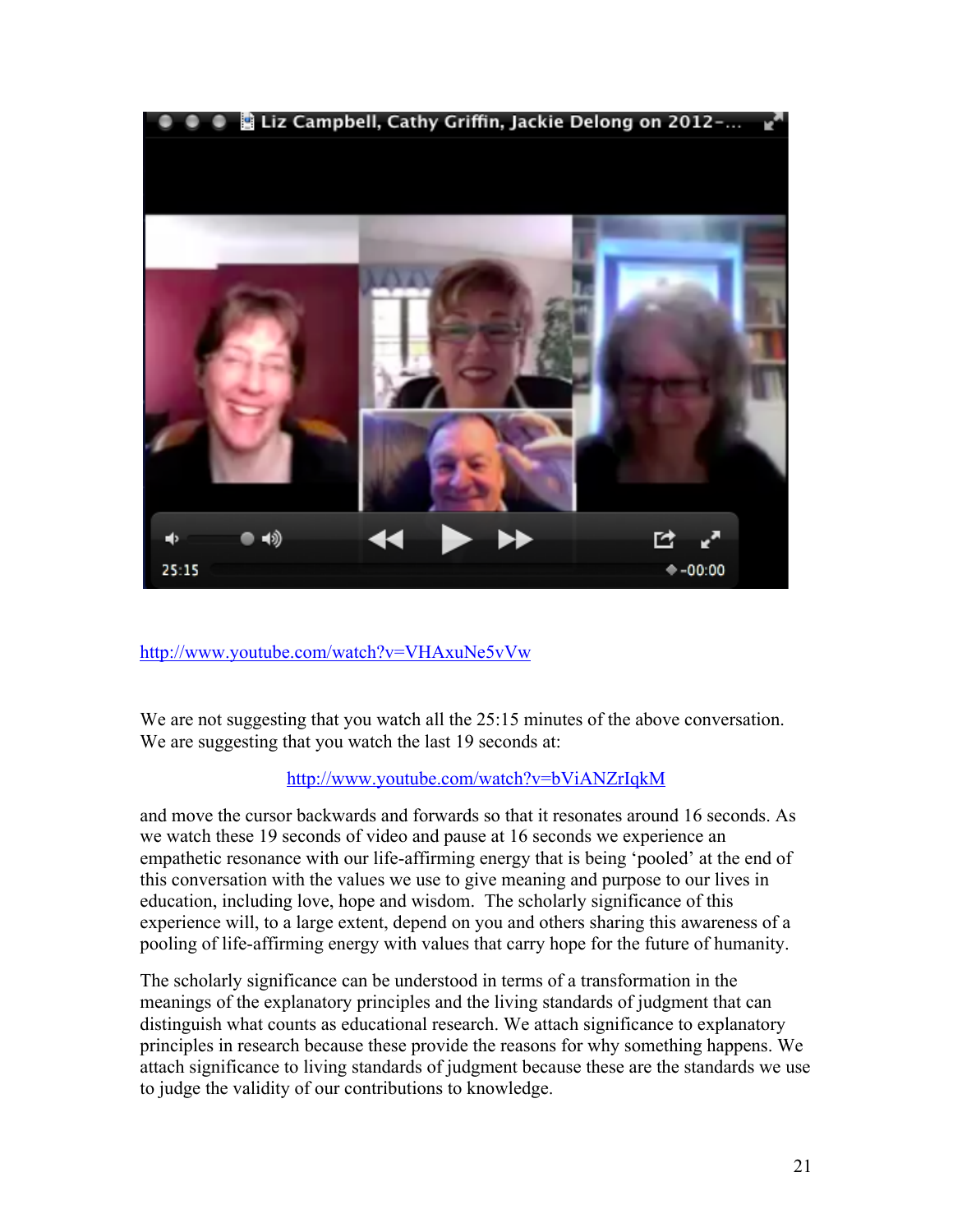

http://www.youtube.com/watch?v=VHAxuNe5vVw

We are not suggesting that you watch all the 25:15 minutes of the above conversation. We are suggesting that you watch the last 19 seconds at:

# http://www.youtube.com/watch?v=bViANZrIqkM

and move the cursor backwards and forwards so that it resonates around 16 seconds. As we watch these 19 seconds of video and pause at 16 seconds we experience an empathetic resonance with our life-affirming energy that is being 'pooled' at the end of this conversation with the values we use to give meaning and purpose to our lives in education, including love, hope and wisdom. The scholarly significance of this experience will, to a large extent, depend on you and others sharing this awareness of a pooling of life-affirming energy with values that carry hope for the future of humanity.

The scholarly significance can be understood in terms of a transformation in the meanings of the explanatory principles and the living standards of judgment that can distinguish what counts as educational research. We attach significance to explanatory principles in research because these provide the reasons for why something happens. We attach significance to living standards of judgment because these are the standards we use to judge the validity of our contributions to knowledge.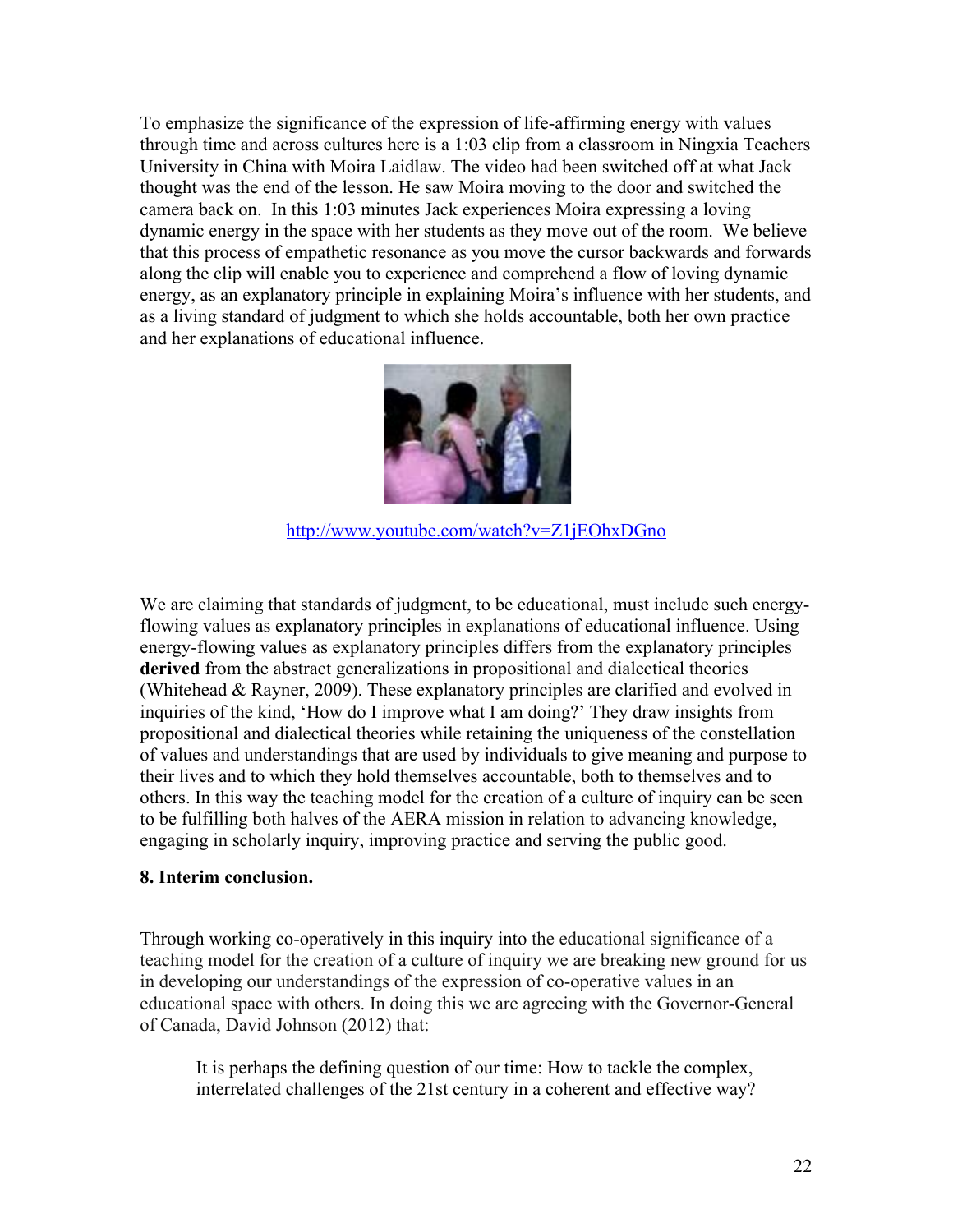To emphasize the significance of the expression of life-affirming energy with values through time and across cultures here is a 1:03 clip from a classroom in Ningxia Teachers University in China with Moira Laidlaw. The video had been switched off at what Jack thought was the end of the lesson. He saw Moira moving to the door and switched the camera back on. In this 1:03 minutes Jack experiences Moira expressing a loving dynamic energy in the space with her students as they move out of the room. We believe that this process of empathetic resonance as you move the cursor backwards and forwards along the clip will enable you to experience and comprehend a flow of loving dynamic energy, as an explanatory principle in explaining Moira's influence with her students, and as a living standard of judgment to which she holds accountable, both her own practice and her explanations of educational influence.



http://www.youtube.com/watch?v=Z1jEOhxDGno

We are claiming that standards of judgment, to be educational, must include such energyflowing values as explanatory principles in explanations of educational influence. Using energy-flowing values as explanatory principles differs from the explanatory principles **derived** from the abstract generalizations in propositional and dialectical theories (Whitehead & Rayner, 2009). These explanatory principles are clarified and evolved in inquiries of the kind, 'How do I improve what I am doing?' They draw insights from propositional and dialectical theories while retaining the uniqueness of the constellation of values and understandings that are used by individuals to give meaning and purpose to their lives and to which they hold themselves accountable, both to themselves and to others. In this way the teaching model for the creation of a culture of inquiry can be seen to be fulfilling both halves of the AERA mission in relation to advancing knowledge, engaging in scholarly inquiry, improving practice and serving the public good.

### **8. Interim conclusion.**

Through working co-operatively in this inquiry into the educational significance of a teaching model for the creation of a culture of inquiry we are breaking new ground for us in developing our understandings of the expression of co-operative values in an educational space with others. In doing this we are agreeing with the Governor-General of Canada, David Johnson (2012) that:

It is perhaps the defining question of our time: How to tackle the complex, interrelated challenges of the 21st century in a coherent and effective way?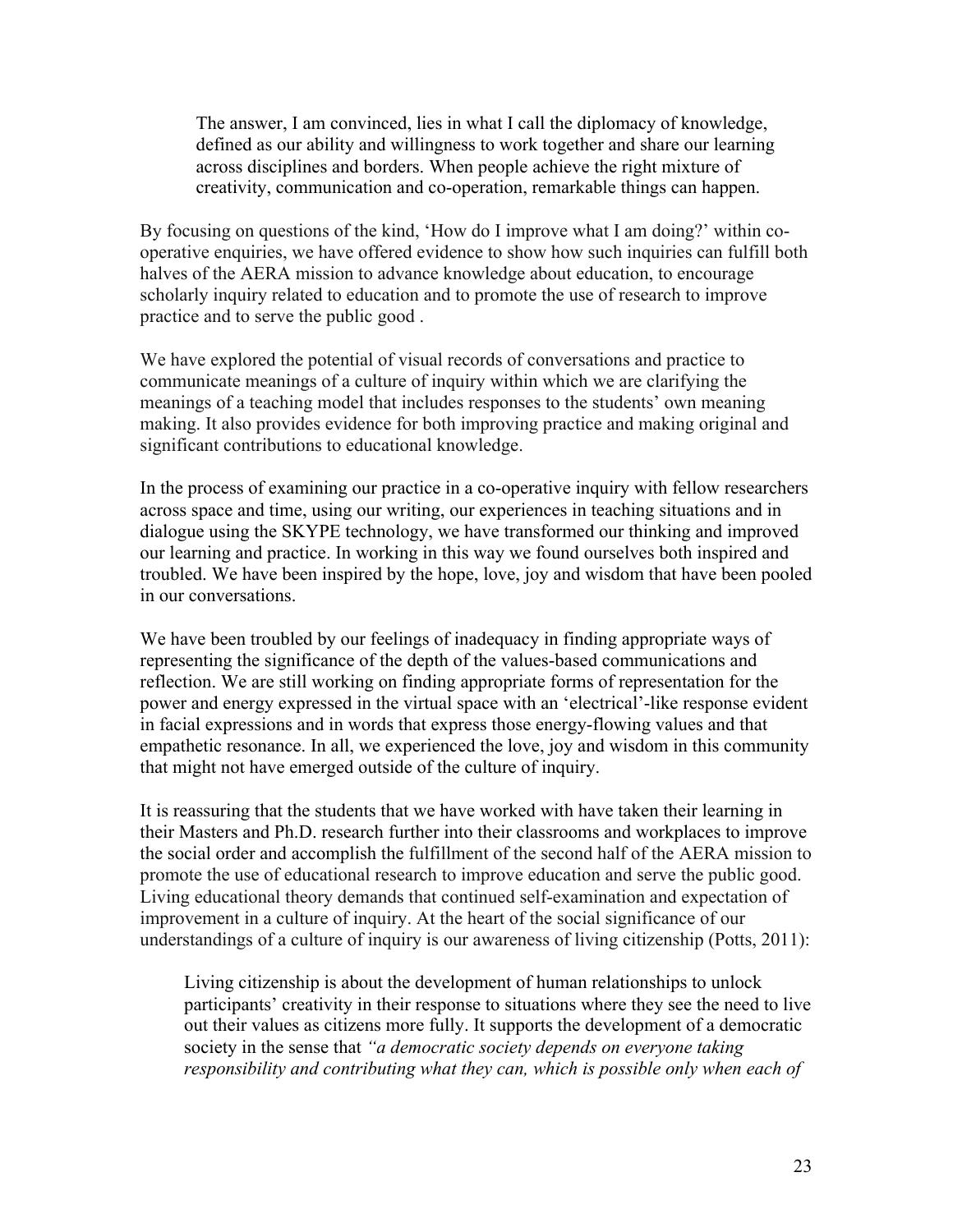The answer, I am convinced, lies in what I call the diplomacy of knowledge, defined as our ability and willingness to work together and share our learning across disciplines and borders. When people achieve the right mixture of creativity, communication and co-operation, remarkable things can happen.

By focusing on questions of the kind, 'How do I improve what I am doing?' within cooperative enquiries, we have offered evidence to show how such inquiries can fulfill both halves of the AERA mission to advance knowledge about education, to encourage scholarly inquiry related to education and to promote the use of research to improve practice and to serve the public good .

We have explored the potential of visual records of conversations and practice to communicate meanings of a culture of inquiry within which we are clarifying the meanings of a teaching model that includes responses to the students' own meaning making. It also provides evidence for both improving practice and making original and significant contributions to educational knowledge.

In the process of examining our practice in a co-operative inquiry with fellow researchers across space and time, using our writing, our experiences in teaching situations and in dialogue using the SKYPE technology, we have transformed our thinking and improved our learning and practice. In working in this way we found ourselves both inspired and troubled. We have been inspired by the hope, love, joy and wisdom that have been pooled in our conversations.

We have been troubled by our feelings of inadequacy in finding appropriate ways of representing the significance of the depth of the values-based communications and reflection. We are still working on finding appropriate forms of representation for the power and energy expressed in the virtual space with an 'electrical'-like response evident in facial expressions and in words that express those energy-flowing values and that empathetic resonance. In all, we experienced the love, joy and wisdom in this community that might not have emerged outside of the culture of inquiry.

It is reassuring that the students that we have worked with have taken their learning in their Masters and Ph.D. research further into their classrooms and workplaces to improve the social order and accomplish the fulfillment of the second half of the AERA mission to promote the use of educational research to improve education and serve the public good. Living educational theory demands that continued self-examination and expectation of improvement in a culture of inquiry. At the heart of the social significance of our understandings of a culture of inquiry is our awareness of living citizenship (Potts, 2011):

Living citizenship is about the development of human relationships to unlock participants' creativity in their response to situations where they see the need to live out their values as citizens more fully. It supports the development of a democratic society in the sense that *"a democratic society depends on everyone taking*  responsibility and contributing what they can, which is possible only when each of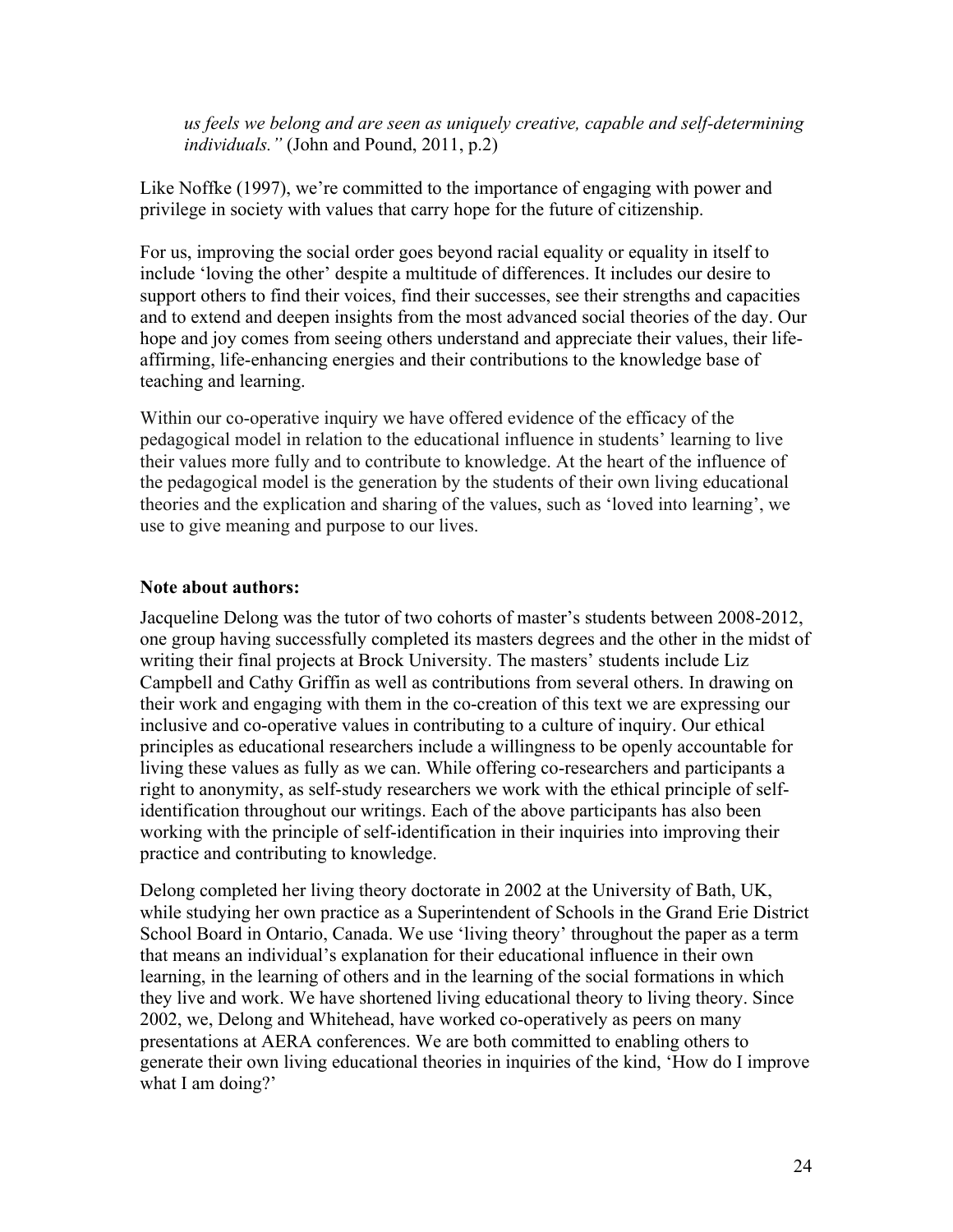*us feels we belong and are seen as uniquely creative, capable and self-determining individuals."* (John and Pound, 2011, p.2)

Like Noffke (1997), we're committed to the importance of engaging with power and privilege in society with values that carry hope for the future of citizenship.

For us, improving the social order goes beyond racial equality or equality in itself to include 'loving the other' despite a multitude of differences. It includes our desire to support others to find their voices, find their successes, see their strengths and capacities and to extend and deepen insights from the most advanced social theories of the day. Our hope and joy comes from seeing others understand and appreciate their values, their lifeaffirming, life-enhancing energies and their contributions to the knowledge base of teaching and learning.

Within our co-operative inquiry we have offered evidence of the efficacy of the pedagogical model in relation to the educational influence in students' learning to live their values more fully and to contribute to knowledge. At the heart of the influence of the pedagogical model is the generation by the students of their own living educational theories and the explication and sharing of the values, such as 'loved into learning', we use to give meaning and purpose to our lives.

### **Note about authors:**

Jacqueline Delong was the tutor of two cohorts of master's students between 2008-2012, one group having successfully completed its masters degrees and the other in the midst of writing their final projects at Brock University. The masters' students include Liz Campbell and Cathy Griffin as well as contributions from several others. In drawing on their work and engaging with them in the co-creation of this text we are expressing our inclusive and co-operative values in contributing to a culture of inquiry. Our ethical principles as educational researchers include a willingness to be openly accountable for living these values as fully as we can. While offering co-researchers and participants a right to anonymity, as self-study researchers we work with the ethical principle of selfidentification throughout our writings. Each of the above participants has also been working with the principle of self-identification in their inquiries into improving their practice and contributing to knowledge.

Delong completed her living theory doctorate in 2002 at the University of Bath, UK, while studying her own practice as a Superintendent of Schools in the Grand Erie District School Board in Ontario, Canada. We use 'living theory' throughout the paper as a term that means an individual's explanation for their educational influence in their own learning, in the learning of others and in the learning of the social formations in which they live and work. We have shortened living educational theory to living theory. Since 2002, we, Delong and Whitehead, have worked co-operatively as peers on many presentations at AERA conferences. We are both committed to enabling others to generate their own living educational theories in inquiries of the kind, 'How do I improve what I am doing?'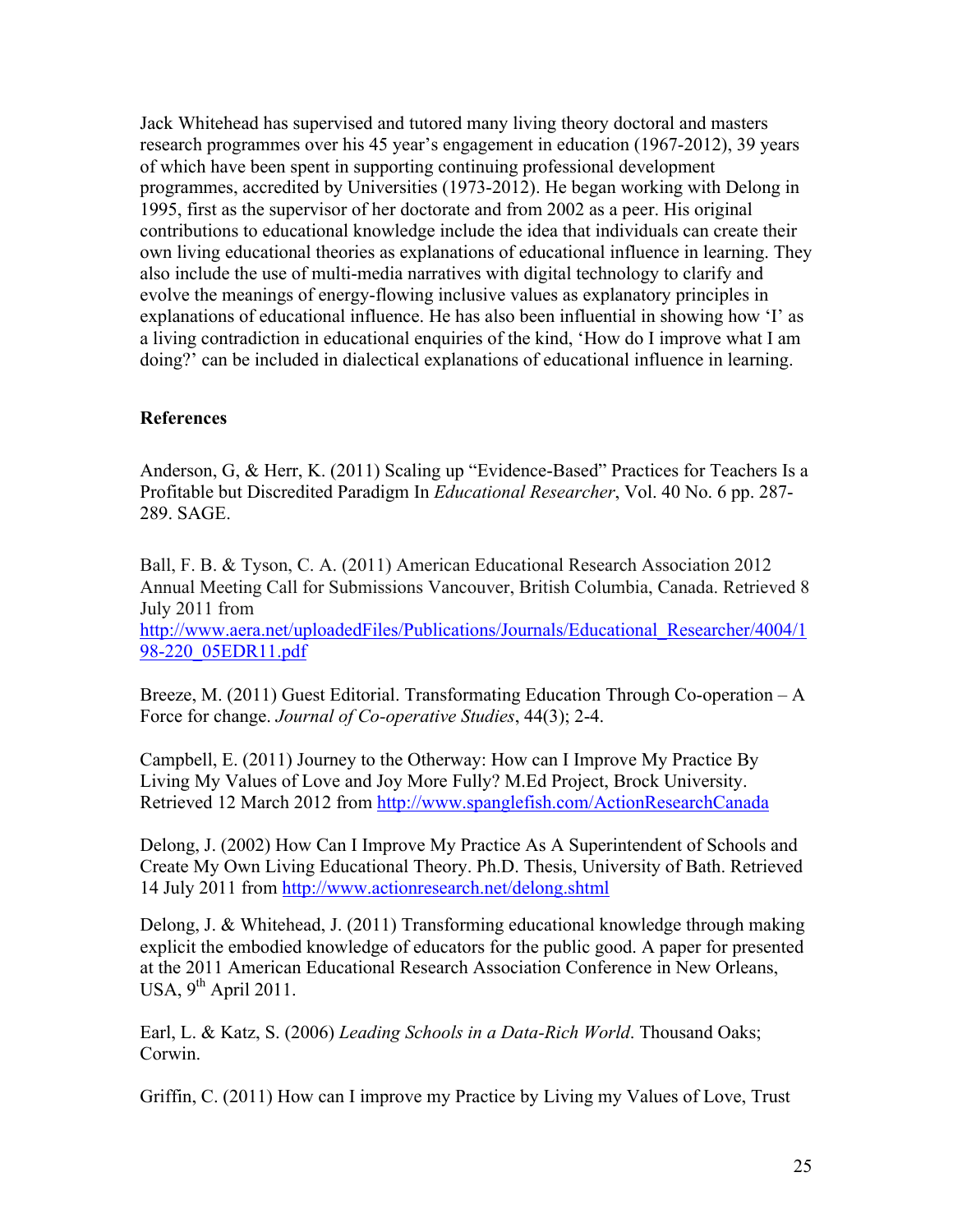Jack Whitehead has supervised and tutored many living theory doctoral and masters research programmes over his 45 year's engagement in education (1967-2012), 39 years of which have been spent in supporting continuing professional development programmes, accredited by Universities (1973-2012). He began working with Delong in 1995, first as the supervisor of her doctorate and from 2002 as a peer. His original contributions to educational knowledge include the idea that individuals can create their own living educational theories as explanations of educational influence in learning. They also include the use of multi-media narratives with digital technology to clarify and evolve the meanings of energy-flowing inclusive values as explanatory principles in explanations of educational influence. He has also been influential in showing how 'I' as a living contradiction in educational enquiries of the kind, 'How do I improve what I am doing?' can be included in dialectical explanations of educational influence in learning.

# **References**

Anderson, G, & Herr, K. (2011) Scaling up "Evidence-Based" Practices for Teachers Is a Profitable but Discredited Paradigm In *Educational Researcher*, Vol. 40 No. 6 pp. 287- 289. SAGE.

Ball, F. B. & Tyson, C. A. (2011) American Educational Research Association 2012 Annual Meeting Call for Submissions Vancouver, British Columbia, Canada. Retrieved 8 July 2011 from

http://www.aera.net/uploadedFiles/Publications/Journals/Educational\_Researcher/4004/1 98-220\_05EDR11.pdf

Breeze, M. (2011) Guest Editorial. Transformating Education Through Co-operation – A Force for change. *Journal of Co-operative Studies*, 44(3); 2-4.

Campbell, E. (2011) Journey to the Otherway: How can I Improve My Practice By Living My Values of Love and Joy More Fully? M.Ed Project, Brock University. Retrieved 12 March 2012 from http://www.spanglefish.com/ActionResearchCanada

Delong, J. (2002) How Can I Improve My Practice As A Superintendent of Schools and Create My Own Living Educational Theory. Ph.D. Thesis, University of Bath. Retrieved 14 July 2011 from http://www.actionresearch.net/delong.shtml

Delong, J. & Whitehead, J. (2011) Transforming educational knowledge through making explicit the embodied knowledge of educators for the public good. A paper for presented at the 2011 American Educational Research Association Conference in New Orleans, USA,  $9^{th}$  April 2011.

Earl, L. & Katz, S. (2006) *Leading Schools in a Data-Rich World*. Thousand Oaks; Corwin.

Griffin, C. (2011) How can I improve my Practice by Living my Values of Love, Trust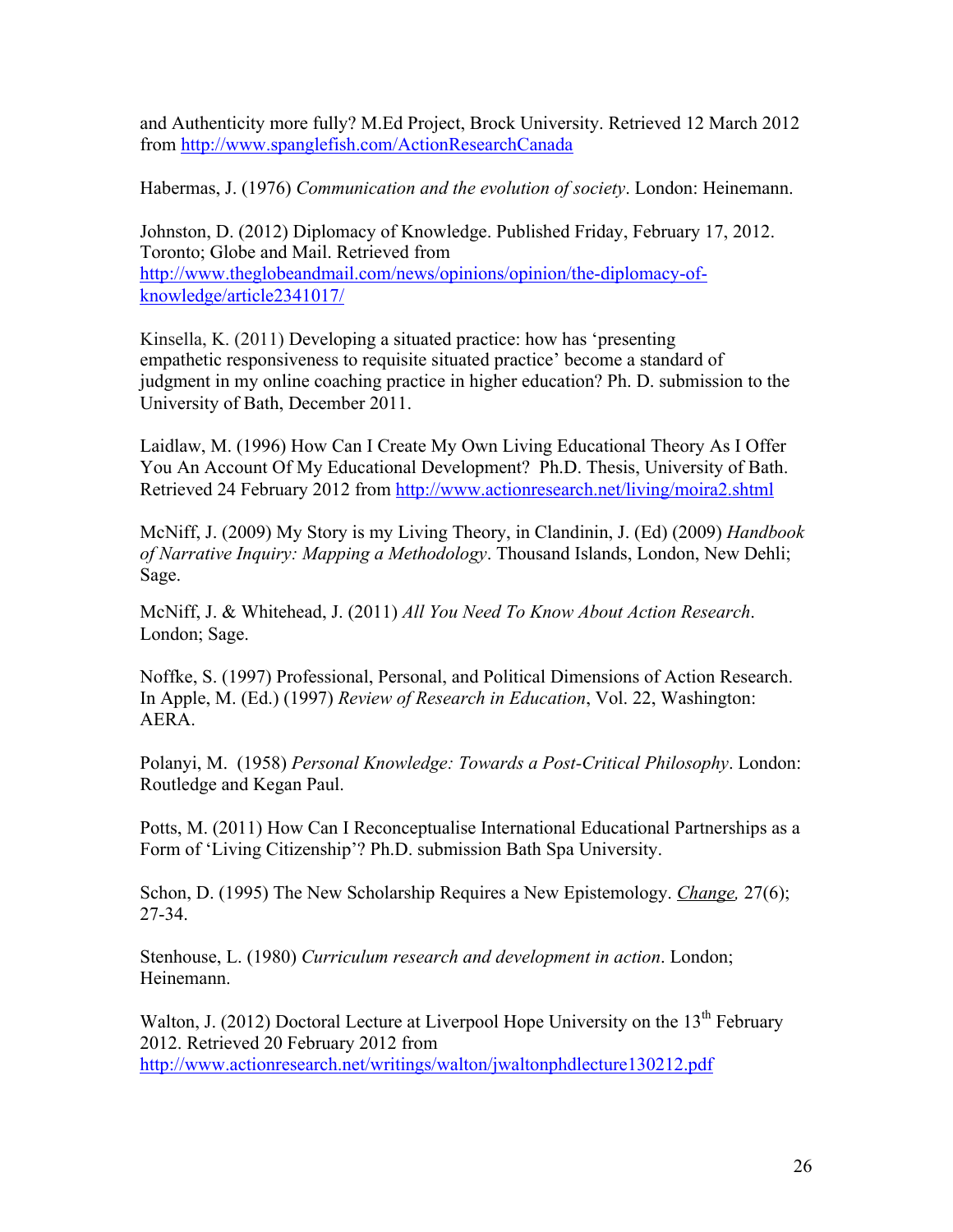and Authenticity more fully? M.Ed Project, Brock University. Retrieved 12 March 2012 from http://www.spanglefish.com/ActionResearchCanada

Habermas, J. (1976) *Communication and the evolution of society*. London: Heinemann.

Johnston, D. (2012) Diplomacy of Knowledge. Published Friday, February 17, 2012. Toronto; Globe and Mail. Retrieved from http://www.theglobeandmail.com/news/opinions/opinion/the-diplomacy-ofknowledge/article2341017/

Kinsella, K. (2011) Developing a situated practice: how has 'presenting empathetic responsiveness to requisite situated practice' become a standard of judgment in my online coaching practice in higher education? Ph. D. submission to the University of Bath, December 2011.

Laidlaw, M. (1996) How Can I Create My Own Living Educational Theory As I Offer You An Account Of My Educational Development? Ph.D. Thesis, University of Bath. Retrieved 24 February 2012 from http://www.actionresearch.net/living/moira2.shtml

McNiff, J. (2009) My Story is my Living Theory, in Clandinin, J. (Ed) (2009) *Handbook of Narrative Inquiry: Mapping a Methodology*. Thousand Islands, London, New Dehli; Sage.

McNiff, J. & Whitehead, J. (2011) *All You Need To Know About Action Research*. London; Sage.

Noffke, S. (1997) Professional, Personal, and Political Dimensions of Action Research. In Apple, M. (Ed.) (1997) *Review of Research in Education*, Vol. 22, Washington: AERA.

Polanyi, M. (1958) *Personal Knowledge: Towards a Post-Critical Philosophy*. London: Routledge and Kegan Paul.

Potts, M. (2011) How Can I Reconceptualise International Educational Partnerships as a Form of 'Living Citizenship'? Ph.D. submission Bath Spa University.

Schon, D. (1995) The New Scholarship Requires a New Epistemology. *Change,* 27(6); 27-34.

Stenhouse, L. (1980) *Curriculum research and development in action*. London; Heinemann.

Walton, J. (2012) Doctoral Lecture at Liverpool Hope University on the  $13<sup>th</sup>$  February 2012. Retrieved 20 February 2012 from http://www.actionresearch.net/writings/walton/jwaltonphdlecture130212.pdf